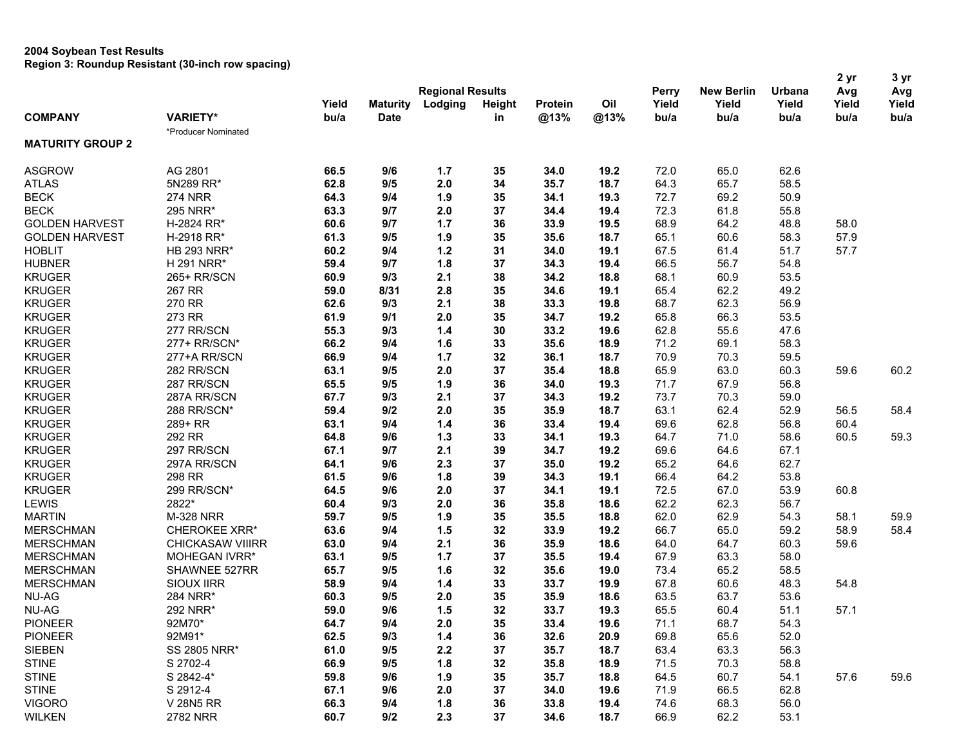|                         |                         |       |                 |                         |               |              |              |       | 2 yr              | 3 yr          |       |       |
|-------------------------|-------------------------|-------|-----------------|-------------------------|---------------|--------------|--------------|-------|-------------------|---------------|-------|-------|
|                         |                         |       |                 | <b>Regional Results</b> |               |              |              | Perry | <b>New Berlin</b> | <b>Urbana</b> | Avg   | Avg   |
|                         |                         | Yield | <b>Maturity</b> | Lodging                 | <b>Height</b> | Protein      | Oil          | Yield | Yield             | Yield         | Yield | Yield |
| <b>COMPANY</b>          | <b>VARIETY*</b>         | bu/a  | <b>Date</b>     |                         | in            | @13%         | @13%         | bu/a  | bu/a              | bu/a          | bu/a  | bu/a  |
|                         | *Producer Nominated     |       |                 |                         |               |              |              |       |                   |               |       |       |
| <b>MATURITY GROUP 2</b> |                         |       |                 |                         |               |              |              |       |                   |               |       |       |
| <b>ASGROW</b>           | AG 2801                 | 66.5  | 9/6             | 1.7                     | 35            | 34.0         | 19.2         | 72.0  | 65.0              | 62.6          |       |       |
| <b>ATLAS</b>            | 5N289 RR*               | 62.8  | 9/5             | 2.0                     | 34            | 35.7         | 18.7         | 64.3  | 65.7              | 58.5          |       |       |
| <b>BECK</b>             | <b>274 NRR</b>          | 64.3  | 9/4             | 1.9                     | 35            | 34.1         | 19.3         | 72.7  | 69.2              | 50.9          |       |       |
| <b>BECK</b>             | 295 NRR*                | 63.3  | 9/7             | 2.0                     | 37            | 34.4         | 19.4         | 72.3  | 61.8              | 55.8          |       |       |
| <b>GOLDEN HARVEST</b>   | H-2824 RR*              | 60.6  | 9/7             | $1.7$                   | 36            | 33.9         | 19.5         | 68.9  | 64.2              | 48.8          | 58.0  |       |
| <b>GOLDEN HARVEST</b>   | H-2918 RR*              | 61.3  | 9/5             | 1.9                     | 35            | 35.6         | 18.7         | 65.1  | 60.6              | 58.3          | 57.9  |       |
| <b>HOBLIT</b>           | <b>HB 293 NRR*</b>      | 60.2  | 9/4             | $1.2$                   | 31            | 34.0         | 19.1         | 67.5  | 61.4              | 51.7          | 57.7  |       |
| <b>HUBNER</b>           | H 291 NRR*              | 59.4  | 9/7             | 1.8                     | 37            | 34.3         | 19.4         | 66.5  | 56.7              | 54.8          |       |       |
| <b>KRUGER</b>           | 265+ RR/SCN             | 60.9  | 9/3             | 2.1                     | 38            | 34.2         | 18.8         | 68.1  | 60.9              | 53.5          |       |       |
| <b>KRUGER</b>           | 267 RR                  | 59.0  | 8/31            | 2.8                     | 35            | 34.6         | 19.1         | 65.4  | 62.2              | 49.2          |       |       |
| <b>KRUGER</b>           | 270 RR                  | 62.6  | 9/3             | 2.1                     | 38            | 33.3         | 19.8         | 68.7  | 62.3              | 56.9          |       |       |
| <b>KRUGER</b>           | 273 RR                  | 61.9  | 9/1             | 2.0                     | 35            | 34.7         | 19.2         | 65.8  | 66.3              | 53.5          |       |       |
| <b>KRUGER</b>           | 277 RR/SCN              | 55.3  | 9/3             | $1.4$                   | 30            | 33.2         | 19.6         | 62.8  | 55.6              | 47.6          |       |       |
| <b>KRUGER</b>           | 277+ RR/SCN*            | 66.2  | 9/4             | 1.6                     | 33            | 35.6         | 18.9         | 71.2  | 69.1              | 58.3          |       |       |
| <b>KRUGER</b>           | 277+A RR/SCN            | 66.9  | 9/4             | $1.7$                   | 32            | 36.1         | 18.7         | 70.9  | 70.3              | 59.5          |       |       |
| <b>KRUGER</b>           | 282 RR/SCN              | 63.1  | 9/5             | 2.0                     | 37            | 35.4         | 18.8         | 65.9  | 63.0              | 60.3          | 59.6  | 60.2  |
| <b>KRUGER</b>           | 287 RR/SCN              | 65.5  | 9/5             | 1.9                     | 36            | 34.0         | 19.3         | 71.7  | 67.9              | 56.8          |       |       |
| <b>KRUGER</b>           | 287A RR/SCN             | 67.7  | 9/3             | 2.1                     | 37            | 34.3         | 19.2         | 73.7  | 70.3              | 59.0          |       |       |
| <b>KRUGER</b>           | 288 RR/SCN*             | 59.4  | 9/2             | 2.0                     | 35            | 35.9         | 18.7         | 63.1  | 62.4              | 52.9          | 56.5  | 58.4  |
| <b>KRUGER</b>           | 289+ RR                 | 63.1  | 9/4             | 1.4                     | 36            | 33.4         | 19.4         | 69.6  | 62.8              | 56.8          | 60.4  |       |
| <b>KRUGER</b>           | 292 RR                  | 64.8  | 9/6             | $1.3$                   | 33            | 34.1         | 19.3         | 64.7  | 71.0              | 58.6          | 60.5  | 59.3  |
| <b>KRUGER</b>           | 297 RR/SCN              | 67.1  | 9/7             | 2.1                     | 39            | 34.7         | 19.2         | 69.6  | 64.6              | 67.1          |       |       |
| <b>KRUGER</b>           | 297A RR/SCN             | 64.1  | 9/6             | 2.3                     | 37            | 35.0         | 19.2         | 65.2  | 64.6              | 62.7          |       |       |
| <b>KRUGER</b>           | 298 RR                  | 61.5  | 9/6             | 1.8                     | 39            | 34.3         | 19.1         | 66.4  | 64.2              | 53.8          |       |       |
| <b>KRUGER</b>           | 299 RR/SCN*             | 64.5  | 9/6             | 2.0                     | 37            | 34.1         | 19.1         | 72.5  | 67.0              | 53.9          | 60.8  |       |
| <b>LEWIS</b>            | 2822*                   | 60.4  | 9/3             | 2.0                     | 36            | 35.8         | 18.6         | 62.2  | 62.3              | 56.7          |       |       |
| <b>MARTIN</b>           | M-328 NRR               | 59.7  | 9/5             | 1.9                     | 35            | 35.5         | 18.8         | 62.0  | 62.9              | 54.3          | 58.1  | 59.9  |
| <b>MERSCHMAN</b>        | <b>CHEROKEE XRR*</b>    | 63.6  | 9/4             | 1.5                     | 32            | 33.9         | 19.2         | 66.7  | 65.0              | 59.2          | 58.9  | 58.4  |
| <b>MERSCHMAN</b>        | <b>CHICKASAW VIIIRR</b> | 63.0  | 9/4             | 2.1                     | 36            | 35.9         | 18.6         | 64.0  | 64.7              | 60.3          | 59.6  |       |
| <b>MERSCHMAN</b>        | MOHEGAN IVRR*           | 63.1  | 9/5             | $1.7$                   | 37            | 35.5         | 19.4         | 67.9  | 63.3              | 58.0          |       |       |
| <b>MERSCHMAN</b>        | SHAWNEE 527RR           | 65.7  | 9/5             | 1.6                     | 32            | 35.6         | 19.0         | 73.4  | 65.2              | 58.5          |       |       |
| <b>MERSCHMAN</b>        | <b>SIOUX IIRR</b>       | 58.9  | 9/4             | $1.4$                   | 33            | 33.7         | 19.9         | 67.8  | 60.6              | 48.3          | 54.8  |       |
| <b>NU-AG</b>            | 284 NRR*                | 60.3  | 9/5             | 2.0                     | 35            | 35.9         | 18.6         | 63.5  | 63.7              | 53.6          |       |       |
| <b>NU-AG</b>            | 292 NRR*                | 59.0  | 9/6             | 1.5                     | 32            | 33.7         | 19.3         | 65.5  | 60.4              | 51.1          | 57.1  |       |
| <b>PIONEER</b>          | 92M70*                  | 64.7  | 9/4             | 2.0                     | 35            | 33.4         | 19.6         | 71.1  | 68.7              | 54.3          |       |       |
| <b>PIONEER</b>          | 92M91*                  | 62.5  | 9/3             | $1.4$                   | 36            | 32.6         | 20.9         | 69.8  | 65.6              | 52.0          |       |       |
| <b>SIEBEN</b>           | <b>SS 2805 NRR*</b>     | 61.0  | 9/5             |                         |               | 35.7         |              | 63.4  |                   | 56.3          |       |       |
| <b>STINE</b>            | S 2702-4                | 66.9  | 9/5             | 2.2<br>1.8              | 37<br>32      | 35.8         | 18.7<br>18.9 | 71.5  | 63.3<br>70.3      | 58.8          |       |       |
| <b>STINE</b>            | S 2842-4*               | 59.8  | 9/6             | 1.9                     | 35            |              | 18.8         | 64.5  |                   | 54.1          | 57.6  | 59.6  |
| <b>STINE</b>            | S 2912-4                | 67.1  | 9/6             | 2.0                     | 37            | 35.7<br>34.0 | 19.6         | 71.9  | 60.7<br>66.5      | 62.8          |       |       |
| <b>VIGORO</b>           | V 28N5 RR               | 66.3  | 9/4             |                         |               |              |              | 74.6  |                   | 56.0          |       |       |
| <b>WILKEN</b>           | 2782 NRR                | 60.7  | 9/2             | 1.8<br>2.3              | 36<br>37      | 33.8<br>34.6 | 19.4<br>18.7 | 66.9  | 68.3<br>62.2      | 53.1          |       |       |
|                         |                         |       |                 |                         |               |              |              |       |                   |               |       |       |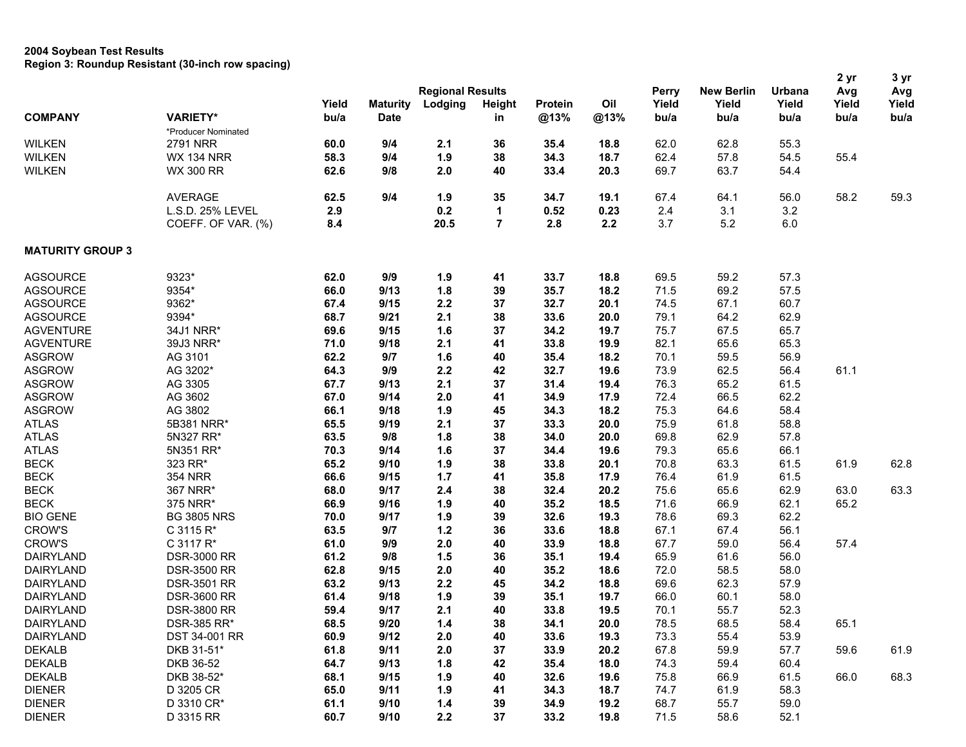|                         |                     |       |                         |         |                |         |      |       |                   |               | 2 yr  | 3 yr  |
|-------------------------|---------------------|-------|-------------------------|---------|----------------|---------|------|-------|-------------------|---------------|-------|-------|
|                         |                     |       | <b>Regional Results</b> |         |                |         |      |       | <b>New Berlin</b> | <b>Urbana</b> | Avg   | Avg   |
|                         |                     | Yield | <b>Maturity</b>         | Lodging | <b>Height</b>  | Protein | Oil  | Yield | Yield             | Yield         | Yield | Yield |
| <b>COMPANY</b>          | <b>VARIETY*</b>     | bu/a  | <b>Date</b>             |         | in             | @13%    | @13% | bu/a  | bu/a              | bu/a          | bu/a  | bu/a  |
|                         | *Producer Nominated |       |                         |         |                |         |      |       |                   |               |       |       |
| <b>WILKEN</b>           | <b>2791 NRR</b>     | 60.0  | 9/4                     | 2.1     | 36             | 35.4    | 18.8 | 62.0  | 62.8              | 55.3          |       |       |
| <b>WILKEN</b>           | <b>WX 134 NRR</b>   | 58.3  | 9/4                     | 1.9     | 38             | 34.3    | 18.7 | 62.4  | 57.8              | 54.5          | 55.4  |       |
| <b>WILKEN</b>           | <b>WX 300 RR</b>    | 62.6  | 9/8                     | 2.0     | 40             | 33.4    | 20.3 | 69.7  | 63.7              | 54.4          |       |       |
|                         | <b>AVERAGE</b>      | 62.5  | 9/4                     | 1.9     | 35             | 34.7    | 19.1 | 67.4  | 64.1              | 56.0          | 58.2  | 59.3  |
|                         | L.S.D. 25% LEVEL    | 2.9   |                         | 0.2     | 1              | 0.52    | 0.23 | 2.4   | 3.1               | 3.2           |       |       |
|                         | COEFF. OF VAR. (%)  | 8.4   |                         | 20.5    | $\overline{7}$ | 2.8     | 2.2  | 3.7   | 5.2               | 6.0           |       |       |
| <b>MATURITY GROUP 3</b> |                     |       |                         |         |                |         |      |       |                   |               |       |       |
| <b>AGSOURCE</b>         | 9323*               | 62.0  | 9/9                     | 1.9     | 41             | 33.7    | 18.8 | 69.5  | 59.2              | 57.3          |       |       |
| <b>AGSOURCE</b>         | 9354*               | 66.0  | 9/13                    | 1.8     | 39             | 35.7    | 18.2 | 71.5  | 69.2              | 57.5          |       |       |
| <b>AGSOURCE</b>         | 9362*               | 67.4  | 9/15                    | 2.2     | 37             | 32.7    | 20.1 | 74.5  | 67.1              | 60.7          |       |       |
| <b>AGSOURCE</b>         | 9394*               | 68.7  | 9/21                    | 2.1     | 38             | 33.6    | 20.0 | 79.1  | 64.2              | 62.9          |       |       |
| <b>AGVENTURE</b>        | 34J1 NRR*           | 69.6  | 9/15                    | 1.6     | 37             | 34.2    | 19.7 | 75.7  | 67.5              | 65.7          |       |       |
| <b>AGVENTURE</b>        | 39J3 NRR*           | 71.0  | 9/18                    | 2.1     | 41             | 33.8    | 19.9 | 82.1  | 65.6              | 65.3          |       |       |
| <b>ASGROW</b>           | AG 3101             | 62.2  | 9/7                     | 1.6     | 40             | 35.4    | 18.2 | 70.1  | 59.5              | 56.9          |       |       |
| <b>ASGROW</b>           | AG 3202*            | 64.3  | 9/9                     | 2.2     | 42             | 32.7    | 19.6 | 73.9  | 62.5              | 56.4          | 61.1  |       |
| <b>ASGROW</b>           | AG 3305             | 67.7  | 9/13                    | 2.1     | 37             | 31.4    | 19.4 | 76.3  | 65.2              | 61.5          |       |       |
| <b>ASGROW</b>           | AG 3602             | 67.0  | 9/14                    | 2.0     | 41             | 34.9    | 17.9 | 72.4  | 66.5              | 62.2          |       |       |
| <b>ASGROW</b>           | AG 3802             | 66.1  | 9/18                    | 1.9     | 45             | 34.3    | 18.2 | 75.3  | 64.6              | 58.4          |       |       |
| <b>ATLAS</b>            | 5B381 NRR*          | 65.5  | 9/19                    | 2.1     | 37             | 33.3    | 20.0 | 75.9  | 61.8              | 58.8          |       |       |
| <b>ATLAS</b>            | 5N327 RR*           | 63.5  | 9/8                     | 1.8     | 38             | 34.0    | 20.0 | 69.8  | 62.9              | 57.8          |       |       |
| <b>ATLAS</b>            | 5N351 RR*           | 70.3  | 9/14                    | 1.6     | 37             | 34.4    | 19.6 | 79.3  | 65.6              | 66.1          |       |       |
| <b>BECK</b>             | 323 RR*             | 65.2  | 9/10                    | 1.9     | 38             | 33.8    | 20.1 | 70.8  | 63.3              | 61.5          | 61.9  | 62.8  |
| <b>BECK</b>             | <b>354 NRR</b>      | 66.6  | 9/15                    | $1.7$   | 41             | 35.8    | 17.9 | 76.4  | 61.9              | 61.5          |       |       |
| <b>BECK</b>             | 367 NRR*            | 68.0  | 9/17                    | 2.4     | 38             | 32.4    | 20.2 | 75.6  | 65.6              | 62.9          | 63.0  | 63.3  |
| <b>BECK</b>             | 375 NRR*            | 66.9  | 9/16                    | 1.9     | 40             | 35.2    | 18.5 | 71.6  | 66.9              | 62.1          | 65.2  |       |
| <b>BIO GENE</b>         | <b>BG 3805 NRS</b>  | 70.0  | 9/17                    | 1.9     | 39             | 32.6    | 19.3 | 78.6  | 69.3              | 62.2          |       |       |
| <b>CROW'S</b>           | C 3115 R*           | 63.5  | 9/7                     | $1.2$   | 36             | 33.6    | 18.8 | 67.1  | 67.4              | 56.1          |       |       |
| <b>CROW'S</b>           | C 3117 R*           | 61.0  | 9/9                     | 2.0     | 40             | 33.9    | 18.8 | 67.7  | 59.0              | 56.4          | 57.4  |       |
| <b>DAIRYLAND</b>        | <b>DSR-3000 RR</b>  | 61.2  | 9/8                     | 1.5     | 36             | 35.1    | 19.4 | 65.9  | 61.6              | 56.0          |       |       |
| <b>DAIRYLAND</b>        | <b>DSR-3500 RR</b>  | 62.8  | 9/15                    | 2.0     | 40             | 35.2    | 18.6 | 72.0  | 58.5              | 58.0          |       |       |
| <b>DAIRYLAND</b>        | <b>DSR-3501 RR</b>  | 63.2  | 9/13                    | 2.2     | 45             | 34.2    | 18.8 | 69.6  | 62.3              | 57.9          |       |       |
| <b>DAIRYLAND</b>        | <b>DSR-3600 RR</b>  | 61.4  | 9/18                    | 1.9     | 39             | 35.1    | 19.7 | 66.0  | 60.1              | 58.0          |       |       |
| <b>DAIRYLAND</b>        | <b>DSR-3800 RR</b>  | 59.4  | 9/17                    | 2.1     | 40             | 33.8    | 19.5 | 70.1  | 55.7              | 52.3          |       |       |
| <b>DAIRYLAND</b>        | DSR-385 RR*         | 68.5  | 9/20                    | $1.4$   | 38             | 34.1    | 20.0 | 78.5  | 68.5              | 58.4          | 65.1  |       |
| <b>DAIRYLAND</b>        | DST 34-001 RR       | 60.9  | 9/12                    | 2.0     | 40             | 33.6    | 19.3 | 73.3  | 55.4              | 53.9          |       |       |
| <b>DEKALB</b>           | DKB 31-51*          | 61.8  | 9/11                    | 2.0     | 37             | 33.9    | 20.2 | 67.8  | 59.9              | 57.7          | 59.6  | 61.9  |
| <b>DEKALB</b>           | DKB 36-52           | 64.7  | 9/13                    | 1.8     | 42             | 35.4    | 18.0 | 74.3  | 59.4              | 60.4          |       |       |
| <b>DEKALB</b>           | DKB 38-52*          | 68.1  | 9/15                    | 1.9     | 40             | 32.6    | 19.6 | 75.8  | 66.9              | 61.5          | 66.0  | 68.3  |
| <b>DIENER</b>           | D 3205 CR           | 65.0  | 9/11                    | 1.9     | 41             | 34.3    | 18.7 | 74.7  | 61.9              | 58.3          |       |       |
| <b>DIENER</b>           | D 3310 CR*          | 61.1  | 9/10                    | $1.4$   | 39             | 34.9    | 19.2 | 68.7  | 55.7              | 59.0          |       |       |
| <b>DIENER</b>           | D 3315 RR           | 60.7  | 9/10                    | 2.2     | 37             | 33.2    | 19.8 | 71.5  | 58.6              | 52.1          |       |       |
|                         |                     |       |                         |         |                |         |      |       |                   |               |       |       |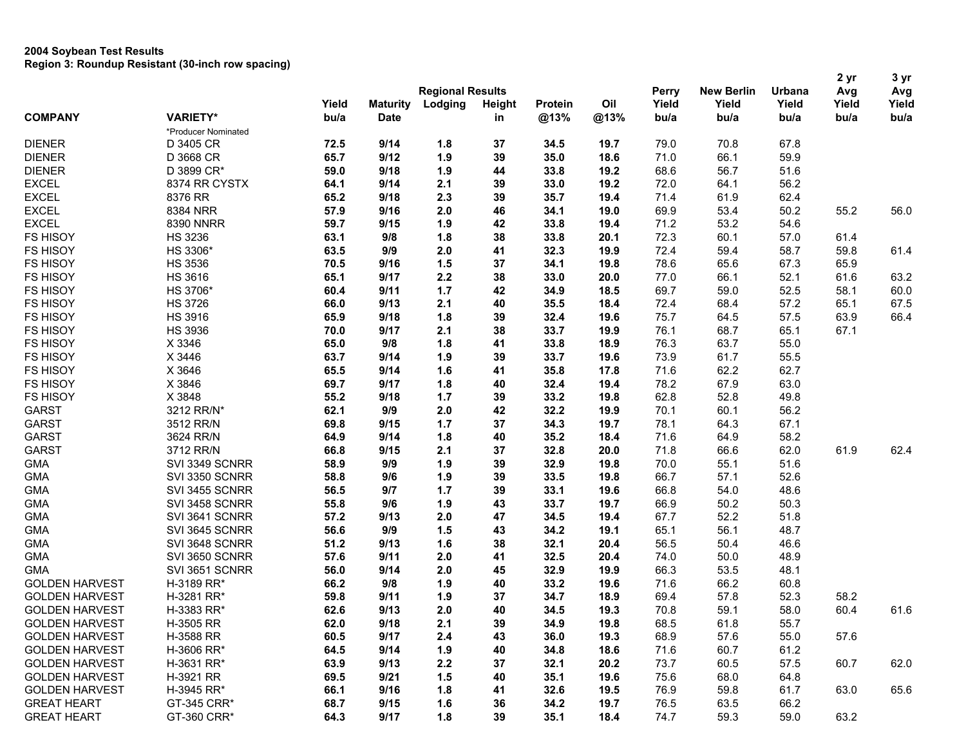|                       |                     |       |                 |                         |               |         |      |       | 2 yr              | 3 yr          |       |       |
|-----------------------|---------------------|-------|-----------------|-------------------------|---------------|---------|------|-------|-------------------|---------------|-------|-------|
|                       |                     |       |                 | <b>Regional Results</b> |               |         |      | Perry | <b>New Berlin</b> | <b>Urbana</b> | Avg   | Avg   |
|                       |                     | Yield | <b>Maturity</b> | Lodging                 | <b>Height</b> | Protein | Oil  | Yield | Yield             | Yield         | Yield | Yield |
| <b>COMPANY</b>        | <b>VARIETY*</b>     | bu/a  | <b>Date</b>     |                         | in            | @13%    | @13% | bu/a  | bu/a              | bu/a          | bu/a  | bu/a  |
|                       | *Producer Nominated |       |                 |                         |               |         |      |       |                   |               |       |       |
| <b>DIENER</b>         | D 3405 CR           | 72.5  | 9/14            | 1.8                     | 37            | 34.5    | 19.7 | 79.0  | 70.8              | 67.8          |       |       |
| <b>DIENER</b>         | D 3668 CR           | 65.7  | 9/12            | 1.9                     | 39            | 35.0    | 18.6 | 71.0  | 66.1              | 59.9          |       |       |
| <b>DIENER</b>         | D 3899 CR*          | 59.0  | 9/18            | 1.9                     | 44            | 33.8    | 19.2 | 68.6  | 56.7              | 51.6          |       |       |
| <b>EXCEL</b>          | 8374 RR CYSTX       | 64.1  | 9/14            | 2.1                     | 39            | 33.0    | 19.2 | 72.0  | 64.1              | 56.2          |       |       |
| <b>EXCEL</b>          | 8376 RR             | 65.2  | 9/18            | 2.3                     | 39            | 35.7    | 19.4 | 71.4  | 61.9              | 62.4          |       |       |
| <b>EXCEL</b>          | 8384 NRR            | 57.9  | 9/16            | 2.0                     | 46            | 34.1    | 19.0 | 69.9  | 53.4              | 50.2          | 55.2  | 56.0  |
| <b>EXCEL</b>          | 8390 NNRR           | 59.7  | 9/15            | 1.9                     | 42            | 33.8    | 19.4 | 71.2  | 53.2              | 54.6          |       |       |
| <b>FS HISOY</b>       | <b>HS 3236</b>      | 63.1  | 9/8             | 1.8                     | 38            | 33.8    | 20.1 | 72.3  | 60.1              | 57.0          | 61.4  |       |
| <b>FS HISOY</b>       | HS 3306*            | 63.5  | 9/9             | 2.0                     | 41            | 32.3    | 19.9 | 72.4  | 59.4              | 58.7          | 59.8  | 61.4  |
| <b>FS HISOY</b>       | <b>HS 3536</b>      | 70.5  | 9/16            | 1.5                     | 37            | 34.1    | 19.8 | 78.6  | 65.6              | 67.3          | 65.9  |       |
| <b>FS HISOY</b>       | <b>HS 3616</b>      | 65.1  | 9/17            | 2.2                     | 38            | 33.0    | 20.0 | 77.0  | 66.1              | 52.1          | 61.6  | 63.2  |
| <b>FS HISOY</b>       | HS 3706*            | 60.4  | 9/11            | $1.7$                   | 42            | 34.9    | 18.5 | 69.7  | 59.0              | 52.5          | 58.1  | 60.0  |
| <b>FS HISOY</b>       | <b>HS 3726</b>      | 66.0  | 9/13            | 2.1                     | 40            | 35.5    | 18.4 | 72.4  | 68.4              | 57.2          | 65.1  | 67.5  |
| <b>FS HISOY</b>       | <b>HS 3916</b>      | 65.9  | 9/18            | 1.8                     | 39            | 32.4    | 19.6 | 75.7  | 64.5              | 57.5          | 63.9  | 66.4  |
| <b>FS HISOY</b>       | <b>HS 3936</b>      | 70.0  | 9/17            | 2.1                     | 38            | 33.7    | 19.9 | 76.1  | 68.7              | 65.1          | 67.1  |       |
| <b>FS HISOY</b>       | X 3346              | 65.0  | 9/8             | 1.8                     | 41            | 33.8    | 18.9 | 76.3  | 63.7              | 55.0          |       |       |
| <b>FS HISOY</b>       | X 3446              | 63.7  | 9/14            | 1.9                     | 39            | 33.7    | 19.6 | 73.9  | 61.7              | 55.5          |       |       |
| <b>FS HISOY</b>       | X 3646              | 65.5  | 9/14            | 1.6                     | 41            | 35.8    | 17.8 | 71.6  | 62.2              | 62.7          |       |       |
| <b>FS HISOY</b>       | X 3846              | 69.7  | 9/17            | 1.8                     | 40            | 32.4    | 19.4 | 78.2  | 67.9              | 63.0          |       |       |
| <b>FS HISOY</b>       | X 3848              | 55.2  | 9/18            | 1.7                     | 39            | 33.2    | 19.8 | 62.8  | 52.8              | 49.8          |       |       |
| <b>GARST</b>          | 3212 RR/N*          | 62.1  | 9/9             | 2.0                     | 42            | 32.2    | 19.9 | 70.1  | 60.1              | 56.2          |       |       |
| <b>GARST</b>          | 3512 RR/N           | 69.8  | 9/15            | $1.7$                   | 37            | 34.3    | 19.7 | 78.1  | 64.3              | 67.1          |       |       |
| <b>GARST</b>          | 3624 RR/N           | 64.9  | 9/14            | 1.8                     | 40            | 35.2    | 18.4 | 71.6  | 64.9              | 58.2          |       |       |
| <b>GARST</b>          | 3712 RR/N           | 66.8  | 9/15            | 2.1                     | 37            | 32.8    | 20.0 | 71.8  | 66.6              | 62.0          | 61.9  | 62.4  |
| <b>GMA</b>            | SVI 3349 SCNRR      | 58.9  | 9/9             | 1.9                     | 39            | 32.9    | 19.8 | 70.0  | 55.1              | 51.6          |       |       |
| <b>GMA</b>            | SVI 3350 SCNRR      | 58.8  | 9/6             | 1.9                     | 39            | 33.5    | 19.8 | 66.7  | 57.1              | 52.6          |       |       |
| <b>GMA</b>            | SVI 3455 SCNRR      | 56.5  | 9/7             | 1.7                     | 39            | 33.1    | 19.6 | 66.8  | 54.0              | 48.6          |       |       |
| <b>GMA</b>            | SVI 3458 SCNRR      | 55.8  | 9/6             | 1.9                     | 43            | 33.7    | 19.7 | 66.9  | 50.2              | 50.3          |       |       |
| <b>GMA</b>            | SVI 3641 SCNRR      | 57.2  | 9/13            | 2.0                     | 47            | 34.5    | 19.4 | 67.7  | 52.2              | 51.8          |       |       |
| <b>GMA</b>            | SVI 3645 SCNRR      | 56.6  | 9/9             | 1.5                     | 43            | 34.2    | 19.1 | 65.1  | 56.1              | 48.7          |       |       |
| <b>GMA</b>            | SVI 3648 SCNRR      | 51.2  | 9/13            | 1.6                     | 38            | 32.1    | 20.4 | 56.5  | 50.4              | 46.6          |       |       |
| <b>GMA</b>            | SVI 3650 SCNRR      | 57.6  | 9/11            | 2.0                     | 41            | 32.5    | 20.4 | 74.0  | 50.0              | 48.9          |       |       |
| <b>GMA</b>            | SVI 3651 SCNRR      | 56.0  | 9/14            | 2.0                     | 45            | 32.9    | 19.9 | 66.3  | 53.5              | 48.1          |       |       |
| <b>GOLDEN HARVEST</b> | H-3189 RR*          | 66.2  | 9/8             | 1.9                     | 40            | 33.2    | 19.6 | 71.6  | 66.2              | 60.8          |       |       |
| <b>GOLDEN HARVEST</b> |                     |       |                 | 1.9                     |               | 34.7    | 18.9 |       |                   |               | 58.2  |       |
|                       | H-3281 RR*          | 59.8  | 9/11            |                         | 37            |         |      | 69.4  | 57.8              | 52.3          |       |       |
| <b>GOLDEN HARVEST</b> | H-3383 RR*          | 62.6  | 9/13            | 2.0                     | 40            | 34.5    | 19.3 | 70.8  | 59.1              | 58.0          | 60.4  | 61.6  |
| <b>GOLDEN HARVEST</b> | H-3505 RR           | 62.0  | 9/18            | 2.1                     | 39            | 34.9    | 19.8 | 68.5  | 61.8              | 55.7          |       |       |
| <b>GOLDEN HARVEST</b> | H-3588 RR           | 60.5  | 9/17            | 2.4                     | 43            | 36.0    | 19.3 | 68.9  | 57.6              | 55.0          | 57.6  |       |
| <b>GOLDEN HARVEST</b> | H-3606 RR*          | 64.5  | 9/14            | 1.9                     | 40            | 34.8    | 18.6 | 71.6  | 60.7              | 61.2          |       |       |
| <b>GOLDEN HARVEST</b> | H-3631 RR*          | 63.9  | 9/13            | 2.2                     | 37            | 32.1    | 20.2 | 73.7  | 60.5              | 57.5          | 60.7  | 62.0  |
| <b>GOLDEN HARVEST</b> | H-3921 RR           | 69.5  | 9/21            | 1.5                     | 40            | 35.1    | 19.6 | 75.6  | 68.0              | 64.8          |       |       |
| <b>GOLDEN HARVEST</b> | H-3945 RR*          | 66.1  | 9/16            | 1.8                     | 41            | 32.6    | 19.5 | 76.9  | 59.8              | 61.7          | 63.0  | 65.6  |
| <b>GREAT HEART</b>    | GT-345 CRR*         | 68.7  | 9/15            | 1.6                     | 36            | 34.2    | 19.7 | 76.5  | 63.5              | 66.2          |       |       |
| <b>GREAT HEART</b>    | GT-360 CRR*         | 64.3  | 9/17            | 1.8                     | 39            | 35.1    | 18.4 | 74.7  | 59.3              | 59.0          | 63.2  |       |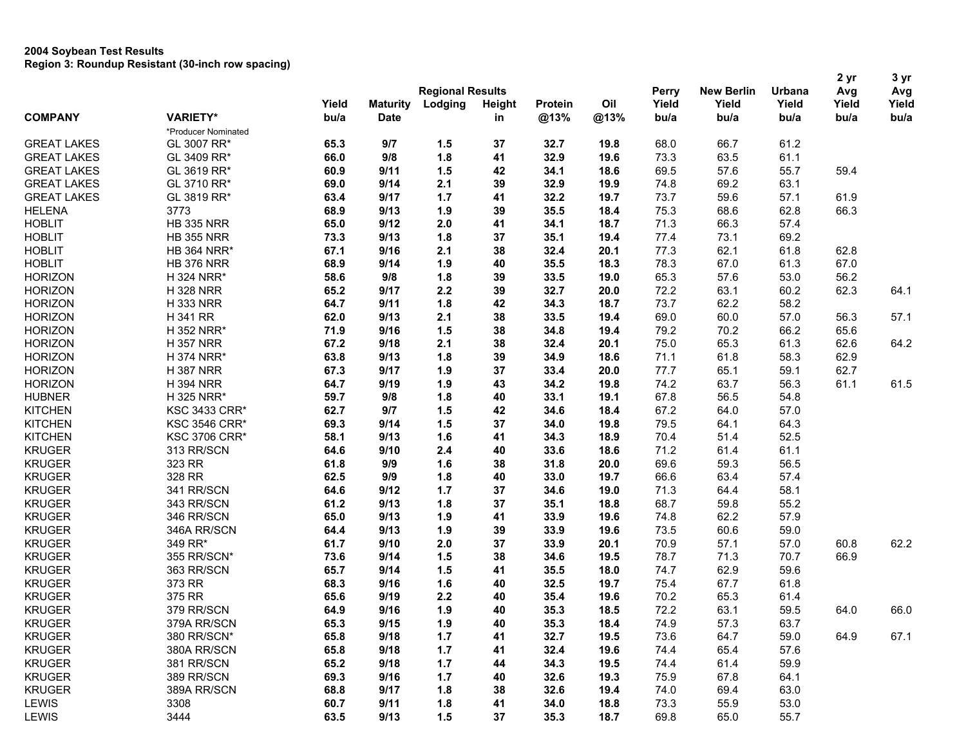|                    |                      |       |                 | <b>Regional Results</b> |               | Perry   | <b>New Berlin</b> | Urbana | 2 yr<br>Avg | 3 yr<br>Avg |       |       |
|--------------------|----------------------|-------|-----------------|-------------------------|---------------|---------|-------------------|--------|-------------|-------------|-------|-------|
|                    |                      | Yield | <b>Maturity</b> | Lodging                 | <b>Height</b> | Protein | Oil               | Yield  | Yield       | Yield       | Yield | Yield |
| <b>COMPANY</b>     | <b>VARIETY*</b>      | bu/a  | <b>Date</b>     |                         | in            | @13%    | @13%              | bu/a   | bu/a        | bu/a        | bu/a  | bu/a  |
|                    | *Producer Nominated  |       |                 |                         |               |         |                   |        |             |             |       |       |
| <b>GREAT LAKES</b> | GL 3007 RR*          | 65.3  | 9/7             | 1.5                     | 37            | 32.7    | 19.8              | 68.0   | 66.7        | 61.2        |       |       |
| <b>GREAT LAKES</b> | GL 3409 RR*          | 66.0  | 9/8             | 1.8                     | 41            | 32.9    | 19.6              | 73.3   | 63.5        | 61.1        |       |       |
| <b>GREAT LAKES</b> | GL 3619 RR*          | 60.9  | 9/11            | 1.5                     | 42            | 34.1    | 18.6              | 69.5   | 57.6        | 55.7        | 59.4  |       |
| <b>GREAT LAKES</b> | GL 3710 RR*          | 69.0  | 9/14            | 2.1                     | 39            | 32.9    | 19.9              | 74.8   | 69.2        | 63.1        |       |       |
| <b>GREAT LAKES</b> | GL 3819 RR*          | 63.4  | 9/17            | 1.7                     | 41            | 32.2    | 19.7              | 73.7   | 59.6        | 57.1        | 61.9  |       |
| <b>HELENA</b>      | 3773                 | 68.9  | 9/13            | 1.9                     | 39            | 35.5    | 18.4              | 75.3   | 68.6        | 62.8        | 66.3  |       |
| <b>HOBLIT</b>      | <b>HB 335 NRR</b>    | 65.0  | 9/12            | 2.0                     | 41            | 34.1    | 18.7              | 71.3   | 66.3        | 57.4        |       |       |
| <b>HOBLIT</b>      | <b>HB 355 NRR</b>    | 73.3  | 9/13            | 1.8                     | 37            | 35.1    | 19.4              | 77.4   | 73.1        | 69.2        |       |       |
| <b>HOBLIT</b>      | <b>HB 364 NRR*</b>   | 67.1  | 9/16            | 2.1                     | 38            | 32.4    | 20.1              | 77.3   | 62.1        | 61.8        | 62.8  |       |
| <b>HOBLIT</b>      | <b>HB 376 NRR</b>    | 68.9  | 9/14            | 1.9                     | 40            | 35.5    | 18.3              | 78.3   | 67.0        | 61.3        | 67.0  |       |
| <b>HORIZON</b>     | H 324 NRR*           | 58.6  | 9/8             | 1.8                     | 39            | 33.5    | 19.0              | 65.3   | 57.6        | 53.0        | 56.2  |       |
| <b>HORIZON</b>     | <b>H328 NRR</b>      | 65.2  | 9/17            | 2.2                     | 39            | 32.7    | 20.0              | 72.2   | 63.1        | 60.2        | 62.3  | 64.1  |
| <b>HORIZON</b>     | <b>H333 NRR</b>      | 64.7  | 9/11            | 1.8                     | 42            | 34.3    | 18.7              | 73.7   | 62.2        | 58.2        |       |       |
| <b>HORIZON</b>     | H 341 RR             | 62.0  | 9/13            | 2.1                     | 38            | 33.5    | 19.4              | 69.0   | 60.0        | 57.0        | 56.3  | 57.1  |
| <b>HORIZON</b>     | H 352 NRR*           | 71.9  | 9/16            | 1.5                     | 38            | 34.8    | 19.4              | 79.2   | 70.2        | 66.2        | 65.6  |       |
| <b>HORIZON</b>     | <b>H357 NRR</b>      | 67.2  | 9/18            | 2.1                     | 38            | 32.4    | 20.1              | 75.0   | 65.3        | 61.3        | 62.6  | 64.2  |
| <b>HORIZON</b>     | H 374 NRR*           | 63.8  | 9/13            | 1.8                     | 39            | 34.9    | 18.6              | 71.1   | 61.8        | 58.3        | 62.9  |       |
| <b>HORIZON</b>     | <b>H387 NRR</b>      | 67.3  | 9/17            | 1.9                     | 37            | 33.4    | 20.0              | 77.7   | 65.1        | 59.1        | 62.7  |       |
| <b>HORIZON</b>     | <b>H 394 NRR</b>     | 64.7  | 9/19            | 1.9                     | 43            | 34.2    | 19.8              | 74.2   | 63.7        | 56.3        | 61.1  | 61.5  |
| <b>HUBNER</b>      | H 325 NRR*           | 59.7  | 9/8             | 1.8                     | 40            | 33.1    | 19.1              | 67.8   | 56.5        | 54.8        |       |       |
| <b>KITCHEN</b>     | <b>KSC 3433 CRR*</b> | 62.7  | 9/7             | 1.5                     | 42            | 34.6    | 18.4              | 67.2   | 64.0        | 57.0        |       |       |
| <b>KITCHEN</b>     | <b>KSC 3546 CRR*</b> | 69.3  | 9/14            | 1.5                     | 37            | 34.0    | 19.8              | 79.5   | 64.1        | 64.3        |       |       |
| <b>KITCHEN</b>     | <b>KSC 3706 CRR*</b> | 58.1  | 9/13            | 1.6                     | 41            | 34.3    | 18.9              | 70.4   | 51.4        | 52.5        |       |       |
| <b>KRUGER</b>      | 313 RR/SCN           | 64.6  | 9/10            | 2.4                     | 40            | 33.6    | 18.6              | 71.2   | 61.4        | 61.1        |       |       |
| <b>KRUGER</b>      | 323 RR               | 61.8  | 9/9             | 1.6                     | 38            | 31.8    | 20.0              | 69.6   | 59.3        | 56.5        |       |       |
| <b>KRUGER</b>      | 328 RR               | 62.5  | 9/9             | 1.8                     | 40            | 33.0    | 19.7              | 66.6   | 63.4        | 57.4        |       |       |
| <b>KRUGER</b>      | 341 RR/SCN           | 64.6  | 9/12            | 1.7                     | 37            | 34.6    | 19.0              | 71.3   | 64.4        | 58.1        |       |       |
| <b>KRUGER</b>      | 343 RR/SCN           | 61.2  | 9/13            | 1.8                     | 37            | 35.1    | 18.8              | 68.7   | 59.8        | 55.2        |       |       |
| <b>KRUGER</b>      | 346 RR/SCN           | 65.0  | 9/13            | 1.9                     | 41            | 33.9    | 19.6              | 74.8   | 62.2        | 57.9        |       |       |
| <b>KRUGER</b>      | 346A RR/SCN          | 64.4  | 9/13            | 1.9                     | 39            | 33.9    | 19.6              | 73.5   | 60.6        | 59.0        |       |       |
| <b>KRUGER</b>      | 349 RR*              | 61.7  | 9/10            | 2.0                     | 37            | 33.9    | 20.1              | 70.9   | 57.1        | 57.0        | 60.8  | 62.2  |
| <b>KRUGER</b>      | 355 RR/SCN*          | 73.6  | 9/14            | 1.5                     | 38            | 34.6    | 19.5              | 78.7   | 71.3        | 70.7        | 66.9  |       |
| <b>KRUGER</b>      | 363 RR/SCN           | 65.7  | 9/14            | 1.5                     | 41            | 35.5    | 18.0              | 74.7   | 62.9        | 59.6        |       |       |
| <b>KRUGER</b>      | 373 RR               | 68.3  | 9/16            | 1.6                     | 40            | 32.5    | 19.7              | 75.4   | 67.7        | 61.8        |       |       |
| <b>KRUGER</b>      | 375 RR               | 65.6  | 9/19            | 2.2                     | 40            | 35.4    | 19.6              | 70.2   | 65.3        | 61.4        |       |       |
| <b>KRUGER</b>      | 379 RR/SCN           | 64.9  | 9/16            | 1.9                     | 40            | 35.3    | 18.5              | 72.2   | 63.1        | 59.5        | 64.0  | 66.0  |
| <b>KRUGER</b>      | 379A RR/SCN          | 65.3  | 9/15            | 1.9                     | 40            | 35.3    | 18.4              | 74.9   | 57.3        | 63.7        |       |       |
| <b>KRUGER</b>      | 380 RR/SCN*          | 65.8  | 9/18            | 1.7                     | 41            | 32.7    | 19.5              | 73.6   | 64.7        | 59.0        | 64.9  | 67.1  |
| <b>KRUGER</b>      | 380A RR/SCN          | 65.8  | 9/18            | 1.7                     | 41            | 32.4    | 19.6              | 74.4   | 65.4        | 57.6        |       |       |
| <b>KRUGER</b>      | 381 RR/SCN           | 65.2  | 9/18            | 1.7                     | 44            | 34.3    | 19.5              | 74.4   | 61.4        | 59.9        |       |       |
| <b>KRUGER</b>      | 389 RR/SCN           | 69.3  | 9/16            | 1.7                     | 40            | 32.6    | 19.3              | 75.9   | 67.8        | 64.1        |       |       |
| <b>KRUGER</b>      | 389A RR/SCN          | 68.8  | 9/17            | 1.8                     | 38            | 32.6    | 19.4              | 74.0   | 69.4        | 63.0        |       |       |
| <b>LEWIS</b>       | 3308                 | 60.7  | 9/11            | 1.8                     | 41            | 34.0    | 18.8              | 73.3   | 55.9        | 53.0        |       |       |
| LEWIS              | 3444                 | 63.5  | 9/13            | 1.5                     | 37            | 35.3    | 18.7              | 69.8   | 65.0        | 55.7        |       |       |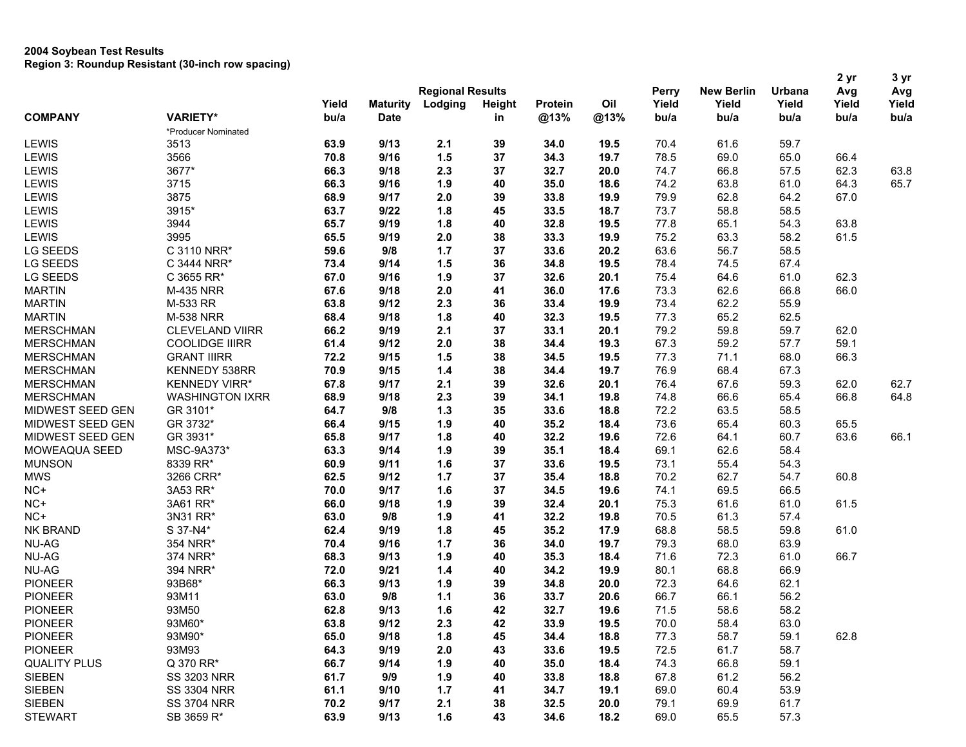| <b>Regional Results</b><br>Yield<br>Yield<br>Lodging<br>Oil<br>Yield<br>Yield<br>Yield<br>Yield<br><b>Maturity</b><br><b>Height</b><br>Protein<br><b>VARIETY*</b><br><b>COMPANY</b><br>bu/a<br>@13%<br>@13%<br>bu/a<br><b>Date</b><br>bu/a<br>bu/a<br>bu/a<br>bu/a<br>in<br>*Producer Nominated<br>LEWIS<br>3513<br>63.9<br>9/13<br>39<br>34.0<br>70.4<br>61.6<br>59.7<br>2.1<br>19.5<br>3566<br>9/16<br>1.5<br>37<br>78.5<br>69.0<br>65.0<br><b>LEWIS</b><br>70.8<br>34.3<br>19.7<br>66.4<br>LEWIS<br>3677*<br>66.3<br>2.3<br>37<br>32.7<br>66.8<br>62.3<br>63.8<br>9/18<br>20.0<br>74.7<br>57.5<br>LEWIS<br>3715<br>66.3<br>74.2<br>64.3<br>65.7<br>9/16<br>1.9<br>40<br>35.0<br>18.6<br>63.8<br>61.0<br>3875<br>LEWIS<br>68.9<br>9/17<br>2.0<br>39<br>33.8<br>19.9<br>79.9<br>62.8<br>64.2<br>67.0<br>LEWIS<br>3915*<br>58.8<br>63.7<br>9/22<br>1.8<br>45<br>33.5<br>18.7<br>73.7<br>58.5<br>63.8<br>LEWIS<br>3944<br>65.7<br>1.8<br>40<br>32.8<br>19.5<br>77.8<br>65.1<br>54.3<br>9/19<br>LEWIS<br>3995<br>65.5<br>2.0<br>38<br>75.2<br>63.3<br>58.2<br>61.5<br>9/19<br>33.3<br>19.9<br><b>LG SEEDS</b><br>C 3110 NRR*<br>59.6<br>9/8<br>63.6<br>56.7<br>58.5<br>$1.7$<br>37<br>33.6<br>20.2<br><b>LG SEEDS</b><br>9/14<br>36<br>67.4<br>C 3444 NRR*<br>73.4<br>1.5<br>34.8<br>19.5<br>78.4<br>74.5<br><b>LG SEEDS</b><br>37<br>64.6<br>62.3<br>C 3655 RR*<br>67.0<br>9/16<br>1.9<br>32.6<br>20.1<br>75.4<br>61.0<br>67.6<br>17.6<br>66.8<br>66.0<br><b>MARTIN</b><br><b>M-435 NRR</b><br>9/18<br>2.0<br>41<br>36.0<br>73.3<br>62.6<br>M-533 RR<br>2.3<br>19.9<br>73.4<br>62.2<br>55.9<br><b>MARTIN</b><br>63.8<br>9/12<br>36<br>33.4<br><b>MARTIN</b><br><b>M-538 NRR</b><br>1.8<br>40<br>32.3<br>77.3<br>65.2<br>62.5<br>68.4<br>9/18<br>19.5<br>9/19<br>37<br>79.2<br>59.8<br>62.0<br><b>MERSCHMAN</b><br><b>CLEVELAND VIIRR</b><br>66.2<br>2.1<br>33.1<br>20.1<br>59.7<br>38<br>59.1<br><b>MERSCHMAN</b><br><b>COOLIDGE IIIRR</b><br>61.4<br>9/12<br>2.0<br>34.4<br>19.3<br>67.3<br>59.2<br>57.7<br>68.0<br>66.3<br><b>MERSCHMAN</b><br><b>GRANT IIIRR</b><br>72.2<br>9/15<br>1.5<br>38<br>34.5<br>19.5<br>77.3<br>71.1<br>$1.4$<br>38<br>34.4<br>19.7<br>76.9<br>68.4<br>67.3<br><b>MERSCHMAN</b><br>KENNEDY 538RR<br>70.9<br>9/15<br><b>KENNEDY VIRR*</b><br>9/17<br>2.1<br>39<br>20.1<br>67.6<br>62.7<br><b>MERSCHMAN</b><br>67.8<br>32.6<br>76.4<br>59.3<br>62.0<br>2.3<br>39<br>66.6<br>64.8<br><b>MERSCHMAN</b><br><b>WASHINGTON IXRR</b><br>68.9<br>9/18<br>34.1<br>19.8<br>74.8<br>65.4<br>66.8<br>MIDWEST SEED GEN<br>GR 3101*<br>9/8<br>$1.3$<br>35<br>33.6<br>72.2<br>63.5<br>64.7<br>18.8<br>58.5<br>73.6<br>65.4<br>MIDWEST SEED GEN<br>GR 3732*<br>66.4<br>9/15<br>1.9<br>40<br>35.2<br>18.4<br>60.3<br>65.5<br>1.8<br>19.6<br>60.7<br>63.6<br>MIDWEST SEED GEN<br>GR 3931*<br>65.8<br>9/17<br>40<br>32.2<br>72.6<br>64.1<br>66.1<br>MSC-9A373*<br>1.9<br>62.6<br>58.4<br>MOWEAQUA SEED<br>63.3<br>9/14<br>39<br>35.1<br>18.4<br>69.1<br><b>MUNSON</b><br>8339 RR*<br>60.9<br>1.6<br>37<br>33.6<br>73.1<br>55.4<br>54.3<br>9/11<br>19.5<br><b>MWS</b><br>60.8<br>3266 CRR*<br>62.5<br>9/12<br>$1.7$<br>37<br>35.4<br>18.8<br>70.2<br>62.7<br>54.7<br>NC+<br>3A53 RR*<br>70.0<br>9/17<br>1.6<br>37<br>34.5<br>19.6<br>74.1<br>69.5<br>66.5<br>NC+<br>39<br>32.4<br>75.3<br>61.6<br>61.5<br>3A61 RR*<br>66.0<br>9/18<br>1.9<br>20.1<br>61.0<br>63.0<br>1.9<br>41<br>32.2<br>70.5<br>61.3<br>57.4<br>$NC+$<br>3N31 RR*<br>9/8<br>19.8<br>NK BRAND<br>1.8<br>58.5<br>S 37-N4*<br>62.4<br>9/19<br>45<br>35.2<br>17.9<br>68.8<br>59.8<br>61.0<br><b>NU-AG</b><br>354 NRR*<br>68.0<br>70.4<br>9/16<br>1.7<br>36<br>34.0<br>19.7<br>79.3<br>63.9<br><b>NU-AG</b><br>71.6<br>72.3<br>66.7<br>374 NRR*<br>68.3<br>9/13<br>1.9<br>40<br>35.3<br>18.4<br>61.0<br>68.8<br><b>NU-AG</b><br>72.0<br>9/21<br>1.4<br>40<br>34.2<br>19.9<br>80.1<br>66.9<br>394 NRR*<br>62.1<br><b>PIONEER</b><br>93B68*<br>66.3<br>9/13<br>1.9<br>39<br>34.8<br>20.0<br>72.3<br>64.6<br><b>PIONEER</b><br>93M11<br>63.0<br>9/8<br>1.1<br>36<br>33.7<br>20.6<br>66.7<br>66.1<br>56.2<br><b>PIONEER</b><br>42<br>58.2<br>93M50<br>62.8<br>9/13<br>1.6<br>32.7<br>19.6<br>71.5<br>58.6<br><b>PIONEER</b><br>93M60*<br>9/12<br>33.9<br>70.0<br>58.4<br>63.8<br>2.3<br>42<br>19.5<br>63.0<br><b>PIONEER</b><br>93M90*<br>65.0<br>9/18<br>1.8<br>34.4<br>77.3<br>58.7<br>59.1<br>62.8<br>45<br>18.8<br><b>PIONEER</b><br>58.7<br>93M93<br>64.3<br>9/19<br>43<br>33.6<br>72.5<br>2.0<br>19.5<br>61.7<br>59.1<br><b>QUALITY PLUS</b><br>Q 370 RR*<br>66.7<br>9/14<br>1.9<br>40<br>35.0<br>18.4<br>74.3<br>66.8<br><b>SIEBEN</b><br>61.7<br>9/9<br>1.9<br>18.8<br>67.8<br>61.2<br>56.2<br><b>SS 3203 NRR</b><br>40<br>33.8<br><b>SIEBEN</b><br>61.1<br>9/10<br>34.7<br>60.4<br>53.9<br><b>SS 3304 NRR</b><br>1.7<br>41<br>19.1<br>69.0<br><b>SIEBEN</b><br>70.2<br>9/17<br>32.5<br>69.9<br>61.7<br><b>SS 3704 NRR</b><br>2.1<br>38<br>20.0<br>79.1 |                |            |      |      |     |    |      |      |              | 2 yr              | 3 yr   |     |     |
|--------------------------------------------------------------------------------------------------------------------------------------------------------------------------------------------------------------------------------------------------------------------------------------------------------------------------------------------------------------------------------------------------------------------------------------------------------------------------------------------------------------------------------------------------------------------------------------------------------------------------------------------------------------------------------------------------------------------------------------------------------------------------------------------------------------------------------------------------------------------------------------------------------------------------------------------------------------------------------------------------------------------------------------------------------------------------------------------------------------------------------------------------------------------------------------------------------------------------------------------------------------------------------------------------------------------------------------------------------------------------------------------------------------------------------------------------------------------------------------------------------------------------------------------------------------------------------------------------------------------------------------------------------------------------------------------------------------------------------------------------------------------------------------------------------------------------------------------------------------------------------------------------------------------------------------------------------------------------------------------------------------------------------------------------------------------------------------------------------------------------------------------------------------------------------------------------------------------------------------------------------------------------------------------------------------------------------------------------------------------------------------------------------------------------------------------------------------------------------------------------------------------------------------------------------------------------------------------------------------------------------------------------------------------------------------------------------------------------------------------------------------------------------------------------------------------------------------------------------------------------------------------------------------------------------------------------------------------------------------------------------------------------------------------------------------------------------------------------------------------------------------------------------------------------------------------------------------------------------------------------------------------------------------------------------------------------------------------------------------------------------------------------------------------------------------------------------------------------------------------------------------------------------------------------------------------------------------------------------------------------------------------------------------------------------------------------------------------------------------------------------------------------------------------------------------------------------------------------------------------------------------------------------------------------------------------------------------------------------------------------------------------------------------------------------------------------------------------------------------------------------------------------------------------------------------------------------------------------------------------------------------------------------------------------------------------------------------------------------------------------------------------------------------------------------------------------------------------------------------------------------------------------------------------------------------------------------------------------------------------------------------------------------------------------------------------------------------------------------------------------------------------------------------------------------------------------------------------------------------------------------------------------------------------------------|----------------|------------|------|------|-----|----|------|------|--------------|-------------------|--------|-----|-----|
|                                                                                                                                                                                                                                                                                                                                                                                                                                                                                                                                                                                                                                                                                                                                                                                                                                                                                                                                                                                                                                                                                                                                                                                                                                                                                                                                                                                                                                                                                                                                                                                                                                                                                                                                                                                                                                                                                                                                                                                                                                                                                                                                                                                                                                                                                                                                                                                                                                                                                                                                                                                                                                                                                                                                                                                                                                                                                                                                                                                                                                                                                                                                                                                                                                                                                                                                                                                                                                                                                                                                                                                                                                                                                                                                                                                                                                                                                                                                                                                                                                                                                                                                                                                                                                                                                                                                                                                                                                                                                                                                                                                                                                                                                                                                                                                                                                                                                                                                |                |            |      |      |     |    |      |      | <b>Perry</b> | <b>New Berlin</b> | Urbana | Avg | Avg |
|                                                                                                                                                                                                                                                                                                                                                                                                                                                                                                                                                                                                                                                                                                                                                                                                                                                                                                                                                                                                                                                                                                                                                                                                                                                                                                                                                                                                                                                                                                                                                                                                                                                                                                                                                                                                                                                                                                                                                                                                                                                                                                                                                                                                                                                                                                                                                                                                                                                                                                                                                                                                                                                                                                                                                                                                                                                                                                                                                                                                                                                                                                                                                                                                                                                                                                                                                                                                                                                                                                                                                                                                                                                                                                                                                                                                                                                                                                                                                                                                                                                                                                                                                                                                                                                                                                                                                                                                                                                                                                                                                                                                                                                                                                                                                                                                                                                                                                                                |                |            |      |      |     |    |      |      |              |                   |        |     |     |
|                                                                                                                                                                                                                                                                                                                                                                                                                                                                                                                                                                                                                                                                                                                                                                                                                                                                                                                                                                                                                                                                                                                                                                                                                                                                                                                                                                                                                                                                                                                                                                                                                                                                                                                                                                                                                                                                                                                                                                                                                                                                                                                                                                                                                                                                                                                                                                                                                                                                                                                                                                                                                                                                                                                                                                                                                                                                                                                                                                                                                                                                                                                                                                                                                                                                                                                                                                                                                                                                                                                                                                                                                                                                                                                                                                                                                                                                                                                                                                                                                                                                                                                                                                                                                                                                                                                                                                                                                                                                                                                                                                                                                                                                                                                                                                                                                                                                                                                                |                |            |      |      |     |    |      |      |              |                   |        |     |     |
|                                                                                                                                                                                                                                                                                                                                                                                                                                                                                                                                                                                                                                                                                                                                                                                                                                                                                                                                                                                                                                                                                                                                                                                                                                                                                                                                                                                                                                                                                                                                                                                                                                                                                                                                                                                                                                                                                                                                                                                                                                                                                                                                                                                                                                                                                                                                                                                                                                                                                                                                                                                                                                                                                                                                                                                                                                                                                                                                                                                                                                                                                                                                                                                                                                                                                                                                                                                                                                                                                                                                                                                                                                                                                                                                                                                                                                                                                                                                                                                                                                                                                                                                                                                                                                                                                                                                                                                                                                                                                                                                                                                                                                                                                                                                                                                                                                                                                                                                |                |            |      |      |     |    |      |      |              |                   |        |     |     |
|                                                                                                                                                                                                                                                                                                                                                                                                                                                                                                                                                                                                                                                                                                                                                                                                                                                                                                                                                                                                                                                                                                                                                                                                                                                                                                                                                                                                                                                                                                                                                                                                                                                                                                                                                                                                                                                                                                                                                                                                                                                                                                                                                                                                                                                                                                                                                                                                                                                                                                                                                                                                                                                                                                                                                                                                                                                                                                                                                                                                                                                                                                                                                                                                                                                                                                                                                                                                                                                                                                                                                                                                                                                                                                                                                                                                                                                                                                                                                                                                                                                                                                                                                                                                                                                                                                                                                                                                                                                                                                                                                                                                                                                                                                                                                                                                                                                                                                                                |                |            |      |      |     |    |      |      |              |                   |        |     |     |
|                                                                                                                                                                                                                                                                                                                                                                                                                                                                                                                                                                                                                                                                                                                                                                                                                                                                                                                                                                                                                                                                                                                                                                                                                                                                                                                                                                                                                                                                                                                                                                                                                                                                                                                                                                                                                                                                                                                                                                                                                                                                                                                                                                                                                                                                                                                                                                                                                                                                                                                                                                                                                                                                                                                                                                                                                                                                                                                                                                                                                                                                                                                                                                                                                                                                                                                                                                                                                                                                                                                                                                                                                                                                                                                                                                                                                                                                                                                                                                                                                                                                                                                                                                                                                                                                                                                                                                                                                                                                                                                                                                                                                                                                                                                                                                                                                                                                                                                                |                |            |      |      |     |    |      |      |              |                   |        |     |     |
|                                                                                                                                                                                                                                                                                                                                                                                                                                                                                                                                                                                                                                                                                                                                                                                                                                                                                                                                                                                                                                                                                                                                                                                                                                                                                                                                                                                                                                                                                                                                                                                                                                                                                                                                                                                                                                                                                                                                                                                                                                                                                                                                                                                                                                                                                                                                                                                                                                                                                                                                                                                                                                                                                                                                                                                                                                                                                                                                                                                                                                                                                                                                                                                                                                                                                                                                                                                                                                                                                                                                                                                                                                                                                                                                                                                                                                                                                                                                                                                                                                                                                                                                                                                                                                                                                                                                                                                                                                                                                                                                                                                                                                                                                                                                                                                                                                                                                                                                |                |            |      |      |     |    |      |      |              |                   |        |     |     |
|                                                                                                                                                                                                                                                                                                                                                                                                                                                                                                                                                                                                                                                                                                                                                                                                                                                                                                                                                                                                                                                                                                                                                                                                                                                                                                                                                                                                                                                                                                                                                                                                                                                                                                                                                                                                                                                                                                                                                                                                                                                                                                                                                                                                                                                                                                                                                                                                                                                                                                                                                                                                                                                                                                                                                                                                                                                                                                                                                                                                                                                                                                                                                                                                                                                                                                                                                                                                                                                                                                                                                                                                                                                                                                                                                                                                                                                                                                                                                                                                                                                                                                                                                                                                                                                                                                                                                                                                                                                                                                                                                                                                                                                                                                                                                                                                                                                                                                                                |                |            |      |      |     |    |      |      |              |                   |        |     |     |
|                                                                                                                                                                                                                                                                                                                                                                                                                                                                                                                                                                                                                                                                                                                                                                                                                                                                                                                                                                                                                                                                                                                                                                                                                                                                                                                                                                                                                                                                                                                                                                                                                                                                                                                                                                                                                                                                                                                                                                                                                                                                                                                                                                                                                                                                                                                                                                                                                                                                                                                                                                                                                                                                                                                                                                                                                                                                                                                                                                                                                                                                                                                                                                                                                                                                                                                                                                                                                                                                                                                                                                                                                                                                                                                                                                                                                                                                                                                                                                                                                                                                                                                                                                                                                                                                                                                                                                                                                                                                                                                                                                                                                                                                                                                                                                                                                                                                                                                                |                |            |      |      |     |    |      |      |              |                   |        |     |     |
|                                                                                                                                                                                                                                                                                                                                                                                                                                                                                                                                                                                                                                                                                                                                                                                                                                                                                                                                                                                                                                                                                                                                                                                                                                                                                                                                                                                                                                                                                                                                                                                                                                                                                                                                                                                                                                                                                                                                                                                                                                                                                                                                                                                                                                                                                                                                                                                                                                                                                                                                                                                                                                                                                                                                                                                                                                                                                                                                                                                                                                                                                                                                                                                                                                                                                                                                                                                                                                                                                                                                                                                                                                                                                                                                                                                                                                                                                                                                                                                                                                                                                                                                                                                                                                                                                                                                                                                                                                                                                                                                                                                                                                                                                                                                                                                                                                                                                                                                |                |            |      |      |     |    |      |      |              |                   |        |     |     |
|                                                                                                                                                                                                                                                                                                                                                                                                                                                                                                                                                                                                                                                                                                                                                                                                                                                                                                                                                                                                                                                                                                                                                                                                                                                                                                                                                                                                                                                                                                                                                                                                                                                                                                                                                                                                                                                                                                                                                                                                                                                                                                                                                                                                                                                                                                                                                                                                                                                                                                                                                                                                                                                                                                                                                                                                                                                                                                                                                                                                                                                                                                                                                                                                                                                                                                                                                                                                                                                                                                                                                                                                                                                                                                                                                                                                                                                                                                                                                                                                                                                                                                                                                                                                                                                                                                                                                                                                                                                                                                                                                                                                                                                                                                                                                                                                                                                                                                                                |                |            |      |      |     |    |      |      |              |                   |        |     |     |
|                                                                                                                                                                                                                                                                                                                                                                                                                                                                                                                                                                                                                                                                                                                                                                                                                                                                                                                                                                                                                                                                                                                                                                                                                                                                                                                                                                                                                                                                                                                                                                                                                                                                                                                                                                                                                                                                                                                                                                                                                                                                                                                                                                                                                                                                                                                                                                                                                                                                                                                                                                                                                                                                                                                                                                                                                                                                                                                                                                                                                                                                                                                                                                                                                                                                                                                                                                                                                                                                                                                                                                                                                                                                                                                                                                                                                                                                                                                                                                                                                                                                                                                                                                                                                                                                                                                                                                                                                                                                                                                                                                                                                                                                                                                                                                                                                                                                                                                                |                |            |      |      |     |    |      |      |              |                   |        |     |     |
|                                                                                                                                                                                                                                                                                                                                                                                                                                                                                                                                                                                                                                                                                                                                                                                                                                                                                                                                                                                                                                                                                                                                                                                                                                                                                                                                                                                                                                                                                                                                                                                                                                                                                                                                                                                                                                                                                                                                                                                                                                                                                                                                                                                                                                                                                                                                                                                                                                                                                                                                                                                                                                                                                                                                                                                                                                                                                                                                                                                                                                                                                                                                                                                                                                                                                                                                                                                                                                                                                                                                                                                                                                                                                                                                                                                                                                                                                                                                                                                                                                                                                                                                                                                                                                                                                                                                                                                                                                                                                                                                                                                                                                                                                                                                                                                                                                                                                                                                |                |            |      |      |     |    |      |      |              |                   |        |     |     |
|                                                                                                                                                                                                                                                                                                                                                                                                                                                                                                                                                                                                                                                                                                                                                                                                                                                                                                                                                                                                                                                                                                                                                                                                                                                                                                                                                                                                                                                                                                                                                                                                                                                                                                                                                                                                                                                                                                                                                                                                                                                                                                                                                                                                                                                                                                                                                                                                                                                                                                                                                                                                                                                                                                                                                                                                                                                                                                                                                                                                                                                                                                                                                                                                                                                                                                                                                                                                                                                                                                                                                                                                                                                                                                                                                                                                                                                                                                                                                                                                                                                                                                                                                                                                                                                                                                                                                                                                                                                                                                                                                                                                                                                                                                                                                                                                                                                                                                                                |                |            |      |      |     |    |      |      |              |                   |        |     |     |
|                                                                                                                                                                                                                                                                                                                                                                                                                                                                                                                                                                                                                                                                                                                                                                                                                                                                                                                                                                                                                                                                                                                                                                                                                                                                                                                                                                                                                                                                                                                                                                                                                                                                                                                                                                                                                                                                                                                                                                                                                                                                                                                                                                                                                                                                                                                                                                                                                                                                                                                                                                                                                                                                                                                                                                                                                                                                                                                                                                                                                                                                                                                                                                                                                                                                                                                                                                                                                                                                                                                                                                                                                                                                                                                                                                                                                                                                                                                                                                                                                                                                                                                                                                                                                                                                                                                                                                                                                                                                                                                                                                                                                                                                                                                                                                                                                                                                                                                                |                |            |      |      |     |    |      |      |              |                   |        |     |     |
|                                                                                                                                                                                                                                                                                                                                                                                                                                                                                                                                                                                                                                                                                                                                                                                                                                                                                                                                                                                                                                                                                                                                                                                                                                                                                                                                                                                                                                                                                                                                                                                                                                                                                                                                                                                                                                                                                                                                                                                                                                                                                                                                                                                                                                                                                                                                                                                                                                                                                                                                                                                                                                                                                                                                                                                                                                                                                                                                                                                                                                                                                                                                                                                                                                                                                                                                                                                                                                                                                                                                                                                                                                                                                                                                                                                                                                                                                                                                                                                                                                                                                                                                                                                                                                                                                                                                                                                                                                                                                                                                                                                                                                                                                                                                                                                                                                                                                                                                |                |            |      |      |     |    |      |      |              |                   |        |     |     |
|                                                                                                                                                                                                                                                                                                                                                                                                                                                                                                                                                                                                                                                                                                                                                                                                                                                                                                                                                                                                                                                                                                                                                                                                                                                                                                                                                                                                                                                                                                                                                                                                                                                                                                                                                                                                                                                                                                                                                                                                                                                                                                                                                                                                                                                                                                                                                                                                                                                                                                                                                                                                                                                                                                                                                                                                                                                                                                                                                                                                                                                                                                                                                                                                                                                                                                                                                                                                                                                                                                                                                                                                                                                                                                                                                                                                                                                                                                                                                                                                                                                                                                                                                                                                                                                                                                                                                                                                                                                                                                                                                                                                                                                                                                                                                                                                                                                                                                                                |                |            |      |      |     |    |      |      |              |                   |        |     |     |
|                                                                                                                                                                                                                                                                                                                                                                                                                                                                                                                                                                                                                                                                                                                                                                                                                                                                                                                                                                                                                                                                                                                                                                                                                                                                                                                                                                                                                                                                                                                                                                                                                                                                                                                                                                                                                                                                                                                                                                                                                                                                                                                                                                                                                                                                                                                                                                                                                                                                                                                                                                                                                                                                                                                                                                                                                                                                                                                                                                                                                                                                                                                                                                                                                                                                                                                                                                                                                                                                                                                                                                                                                                                                                                                                                                                                                                                                                                                                                                                                                                                                                                                                                                                                                                                                                                                                                                                                                                                                                                                                                                                                                                                                                                                                                                                                                                                                                                                                |                |            |      |      |     |    |      |      |              |                   |        |     |     |
|                                                                                                                                                                                                                                                                                                                                                                                                                                                                                                                                                                                                                                                                                                                                                                                                                                                                                                                                                                                                                                                                                                                                                                                                                                                                                                                                                                                                                                                                                                                                                                                                                                                                                                                                                                                                                                                                                                                                                                                                                                                                                                                                                                                                                                                                                                                                                                                                                                                                                                                                                                                                                                                                                                                                                                                                                                                                                                                                                                                                                                                                                                                                                                                                                                                                                                                                                                                                                                                                                                                                                                                                                                                                                                                                                                                                                                                                                                                                                                                                                                                                                                                                                                                                                                                                                                                                                                                                                                                                                                                                                                                                                                                                                                                                                                                                                                                                                                                                |                |            |      |      |     |    |      |      |              |                   |        |     |     |
|                                                                                                                                                                                                                                                                                                                                                                                                                                                                                                                                                                                                                                                                                                                                                                                                                                                                                                                                                                                                                                                                                                                                                                                                                                                                                                                                                                                                                                                                                                                                                                                                                                                                                                                                                                                                                                                                                                                                                                                                                                                                                                                                                                                                                                                                                                                                                                                                                                                                                                                                                                                                                                                                                                                                                                                                                                                                                                                                                                                                                                                                                                                                                                                                                                                                                                                                                                                                                                                                                                                                                                                                                                                                                                                                                                                                                                                                                                                                                                                                                                                                                                                                                                                                                                                                                                                                                                                                                                                                                                                                                                                                                                                                                                                                                                                                                                                                                                                                |                |            |      |      |     |    |      |      |              |                   |        |     |     |
|                                                                                                                                                                                                                                                                                                                                                                                                                                                                                                                                                                                                                                                                                                                                                                                                                                                                                                                                                                                                                                                                                                                                                                                                                                                                                                                                                                                                                                                                                                                                                                                                                                                                                                                                                                                                                                                                                                                                                                                                                                                                                                                                                                                                                                                                                                                                                                                                                                                                                                                                                                                                                                                                                                                                                                                                                                                                                                                                                                                                                                                                                                                                                                                                                                                                                                                                                                                                                                                                                                                                                                                                                                                                                                                                                                                                                                                                                                                                                                                                                                                                                                                                                                                                                                                                                                                                                                                                                                                                                                                                                                                                                                                                                                                                                                                                                                                                                                                                |                |            |      |      |     |    |      |      |              |                   |        |     |     |
|                                                                                                                                                                                                                                                                                                                                                                                                                                                                                                                                                                                                                                                                                                                                                                                                                                                                                                                                                                                                                                                                                                                                                                                                                                                                                                                                                                                                                                                                                                                                                                                                                                                                                                                                                                                                                                                                                                                                                                                                                                                                                                                                                                                                                                                                                                                                                                                                                                                                                                                                                                                                                                                                                                                                                                                                                                                                                                                                                                                                                                                                                                                                                                                                                                                                                                                                                                                                                                                                                                                                                                                                                                                                                                                                                                                                                                                                                                                                                                                                                                                                                                                                                                                                                                                                                                                                                                                                                                                                                                                                                                                                                                                                                                                                                                                                                                                                                                                                |                |            |      |      |     |    |      |      |              |                   |        |     |     |
|                                                                                                                                                                                                                                                                                                                                                                                                                                                                                                                                                                                                                                                                                                                                                                                                                                                                                                                                                                                                                                                                                                                                                                                                                                                                                                                                                                                                                                                                                                                                                                                                                                                                                                                                                                                                                                                                                                                                                                                                                                                                                                                                                                                                                                                                                                                                                                                                                                                                                                                                                                                                                                                                                                                                                                                                                                                                                                                                                                                                                                                                                                                                                                                                                                                                                                                                                                                                                                                                                                                                                                                                                                                                                                                                                                                                                                                                                                                                                                                                                                                                                                                                                                                                                                                                                                                                                                                                                                                                                                                                                                                                                                                                                                                                                                                                                                                                                                                                |                |            |      |      |     |    |      |      |              |                   |        |     |     |
|                                                                                                                                                                                                                                                                                                                                                                                                                                                                                                                                                                                                                                                                                                                                                                                                                                                                                                                                                                                                                                                                                                                                                                                                                                                                                                                                                                                                                                                                                                                                                                                                                                                                                                                                                                                                                                                                                                                                                                                                                                                                                                                                                                                                                                                                                                                                                                                                                                                                                                                                                                                                                                                                                                                                                                                                                                                                                                                                                                                                                                                                                                                                                                                                                                                                                                                                                                                                                                                                                                                                                                                                                                                                                                                                                                                                                                                                                                                                                                                                                                                                                                                                                                                                                                                                                                                                                                                                                                                                                                                                                                                                                                                                                                                                                                                                                                                                                                                                |                |            |      |      |     |    |      |      |              |                   |        |     |     |
|                                                                                                                                                                                                                                                                                                                                                                                                                                                                                                                                                                                                                                                                                                                                                                                                                                                                                                                                                                                                                                                                                                                                                                                                                                                                                                                                                                                                                                                                                                                                                                                                                                                                                                                                                                                                                                                                                                                                                                                                                                                                                                                                                                                                                                                                                                                                                                                                                                                                                                                                                                                                                                                                                                                                                                                                                                                                                                                                                                                                                                                                                                                                                                                                                                                                                                                                                                                                                                                                                                                                                                                                                                                                                                                                                                                                                                                                                                                                                                                                                                                                                                                                                                                                                                                                                                                                                                                                                                                                                                                                                                                                                                                                                                                                                                                                                                                                                                                                |                |            |      |      |     |    |      |      |              |                   |        |     |     |
|                                                                                                                                                                                                                                                                                                                                                                                                                                                                                                                                                                                                                                                                                                                                                                                                                                                                                                                                                                                                                                                                                                                                                                                                                                                                                                                                                                                                                                                                                                                                                                                                                                                                                                                                                                                                                                                                                                                                                                                                                                                                                                                                                                                                                                                                                                                                                                                                                                                                                                                                                                                                                                                                                                                                                                                                                                                                                                                                                                                                                                                                                                                                                                                                                                                                                                                                                                                                                                                                                                                                                                                                                                                                                                                                                                                                                                                                                                                                                                                                                                                                                                                                                                                                                                                                                                                                                                                                                                                                                                                                                                                                                                                                                                                                                                                                                                                                                                                                |                |            |      |      |     |    |      |      |              |                   |        |     |     |
|                                                                                                                                                                                                                                                                                                                                                                                                                                                                                                                                                                                                                                                                                                                                                                                                                                                                                                                                                                                                                                                                                                                                                                                                                                                                                                                                                                                                                                                                                                                                                                                                                                                                                                                                                                                                                                                                                                                                                                                                                                                                                                                                                                                                                                                                                                                                                                                                                                                                                                                                                                                                                                                                                                                                                                                                                                                                                                                                                                                                                                                                                                                                                                                                                                                                                                                                                                                                                                                                                                                                                                                                                                                                                                                                                                                                                                                                                                                                                                                                                                                                                                                                                                                                                                                                                                                                                                                                                                                                                                                                                                                                                                                                                                                                                                                                                                                                                                                                |                |            |      |      |     |    |      |      |              |                   |        |     |     |
|                                                                                                                                                                                                                                                                                                                                                                                                                                                                                                                                                                                                                                                                                                                                                                                                                                                                                                                                                                                                                                                                                                                                                                                                                                                                                                                                                                                                                                                                                                                                                                                                                                                                                                                                                                                                                                                                                                                                                                                                                                                                                                                                                                                                                                                                                                                                                                                                                                                                                                                                                                                                                                                                                                                                                                                                                                                                                                                                                                                                                                                                                                                                                                                                                                                                                                                                                                                                                                                                                                                                                                                                                                                                                                                                                                                                                                                                                                                                                                                                                                                                                                                                                                                                                                                                                                                                                                                                                                                                                                                                                                                                                                                                                                                                                                                                                                                                                                                                |                |            |      |      |     |    |      |      |              |                   |        |     |     |
|                                                                                                                                                                                                                                                                                                                                                                                                                                                                                                                                                                                                                                                                                                                                                                                                                                                                                                                                                                                                                                                                                                                                                                                                                                                                                                                                                                                                                                                                                                                                                                                                                                                                                                                                                                                                                                                                                                                                                                                                                                                                                                                                                                                                                                                                                                                                                                                                                                                                                                                                                                                                                                                                                                                                                                                                                                                                                                                                                                                                                                                                                                                                                                                                                                                                                                                                                                                                                                                                                                                                                                                                                                                                                                                                                                                                                                                                                                                                                                                                                                                                                                                                                                                                                                                                                                                                                                                                                                                                                                                                                                                                                                                                                                                                                                                                                                                                                                                                |                |            |      |      |     |    |      |      |              |                   |        |     |     |
|                                                                                                                                                                                                                                                                                                                                                                                                                                                                                                                                                                                                                                                                                                                                                                                                                                                                                                                                                                                                                                                                                                                                                                                                                                                                                                                                                                                                                                                                                                                                                                                                                                                                                                                                                                                                                                                                                                                                                                                                                                                                                                                                                                                                                                                                                                                                                                                                                                                                                                                                                                                                                                                                                                                                                                                                                                                                                                                                                                                                                                                                                                                                                                                                                                                                                                                                                                                                                                                                                                                                                                                                                                                                                                                                                                                                                                                                                                                                                                                                                                                                                                                                                                                                                                                                                                                                                                                                                                                                                                                                                                                                                                                                                                                                                                                                                                                                                                                                |                |            |      |      |     |    |      |      |              |                   |        |     |     |
|                                                                                                                                                                                                                                                                                                                                                                                                                                                                                                                                                                                                                                                                                                                                                                                                                                                                                                                                                                                                                                                                                                                                                                                                                                                                                                                                                                                                                                                                                                                                                                                                                                                                                                                                                                                                                                                                                                                                                                                                                                                                                                                                                                                                                                                                                                                                                                                                                                                                                                                                                                                                                                                                                                                                                                                                                                                                                                                                                                                                                                                                                                                                                                                                                                                                                                                                                                                                                                                                                                                                                                                                                                                                                                                                                                                                                                                                                                                                                                                                                                                                                                                                                                                                                                                                                                                                                                                                                                                                                                                                                                                                                                                                                                                                                                                                                                                                                                                                |                |            |      |      |     |    |      |      |              |                   |        |     |     |
|                                                                                                                                                                                                                                                                                                                                                                                                                                                                                                                                                                                                                                                                                                                                                                                                                                                                                                                                                                                                                                                                                                                                                                                                                                                                                                                                                                                                                                                                                                                                                                                                                                                                                                                                                                                                                                                                                                                                                                                                                                                                                                                                                                                                                                                                                                                                                                                                                                                                                                                                                                                                                                                                                                                                                                                                                                                                                                                                                                                                                                                                                                                                                                                                                                                                                                                                                                                                                                                                                                                                                                                                                                                                                                                                                                                                                                                                                                                                                                                                                                                                                                                                                                                                                                                                                                                                                                                                                                                                                                                                                                                                                                                                                                                                                                                                                                                                                                                                |                |            |      |      |     |    |      |      |              |                   |        |     |     |
|                                                                                                                                                                                                                                                                                                                                                                                                                                                                                                                                                                                                                                                                                                                                                                                                                                                                                                                                                                                                                                                                                                                                                                                                                                                                                                                                                                                                                                                                                                                                                                                                                                                                                                                                                                                                                                                                                                                                                                                                                                                                                                                                                                                                                                                                                                                                                                                                                                                                                                                                                                                                                                                                                                                                                                                                                                                                                                                                                                                                                                                                                                                                                                                                                                                                                                                                                                                                                                                                                                                                                                                                                                                                                                                                                                                                                                                                                                                                                                                                                                                                                                                                                                                                                                                                                                                                                                                                                                                                                                                                                                                                                                                                                                                                                                                                                                                                                                                                |                |            |      |      |     |    |      |      |              |                   |        |     |     |
|                                                                                                                                                                                                                                                                                                                                                                                                                                                                                                                                                                                                                                                                                                                                                                                                                                                                                                                                                                                                                                                                                                                                                                                                                                                                                                                                                                                                                                                                                                                                                                                                                                                                                                                                                                                                                                                                                                                                                                                                                                                                                                                                                                                                                                                                                                                                                                                                                                                                                                                                                                                                                                                                                                                                                                                                                                                                                                                                                                                                                                                                                                                                                                                                                                                                                                                                                                                                                                                                                                                                                                                                                                                                                                                                                                                                                                                                                                                                                                                                                                                                                                                                                                                                                                                                                                                                                                                                                                                                                                                                                                                                                                                                                                                                                                                                                                                                                                                                |                |            |      |      |     |    |      |      |              |                   |        |     |     |
|                                                                                                                                                                                                                                                                                                                                                                                                                                                                                                                                                                                                                                                                                                                                                                                                                                                                                                                                                                                                                                                                                                                                                                                                                                                                                                                                                                                                                                                                                                                                                                                                                                                                                                                                                                                                                                                                                                                                                                                                                                                                                                                                                                                                                                                                                                                                                                                                                                                                                                                                                                                                                                                                                                                                                                                                                                                                                                                                                                                                                                                                                                                                                                                                                                                                                                                                                                                                                                                                                                                                                                                                                                                                                                                                                                                                                                                                                                                                                                                                                                                                                                                                                                                                                                                                                                                                                                                                                                                                                                                                                                                                                                                                                                                                                                                                                                                                                                                                |                |            |      |      |     |    |      |      |              |                   |        |     |     |
|                                                                                                                                                                                                                                                                                                                                                                                                                                                                                                                                                                                                                                                                                                                                                                                                                                                                                                                                                                                                                                                                                                                                                                                                                                                                                                                                                                                                                                                                                                                                                                                                                                                                                                                                                                                                                                                                                                                                                                                                                                                                                                                                                                                                                                                                                                                                                                                                                                                                                                                                                                                                                                                                                                                                                                                                                                                                                                                                                                                                                                                                                                                                                                                                                                                                                                                                                                                                                                                                                                                                                                                                                                                                                                                                                                                                                                                                                                                                                                                                                                                                                                                                                                                                                                                                                                                                                                                                                                                                                                                                                                                                                                                                                                                                                                                                                                                                                                                                |                |            |      |      |     |    |      |      |              |                   |        |     |     |
|                                                                                                                                                                                                                                                                                                                                                                                                                                                                                                                                                                                                                                                                                                                                                                                                                                                                                                                                                                                                                                                                                                                                                                                                                                                                                                                                                                                                                                                                                                                                                                                                                                                                                                                                                                                                                                                                                                                                                                                                                                                                                                                                                                                                                                                                                                                                                                                                                                                                                                                                                                                                                                                                                                                                                                                                                                                                                                                                                                                                                                                                                                                                                                                                                                                                                                                                                                                                                                                                                                                                                                                                                                                                                                                                                                                                                                                                                                                                                                                                                                                                                                                                                                                                                                                                                                                                                                                                                                                                                                                                                                                                                                                                                                                                                                                                                                                                                                                                |                |            |      |      |     |    |      |      |              |                   |        |     |     |
|                                                                                                                                                                                                                                                                                                                                                                                                                                                                                                                                                                                                                                                                                                                                                                                                                                                                                                                                                                                                                                                                                                                                                                                                                                                                                                                                                                                                                                                                                                                                                                                                                                                                                                                                                                                                                                                                                                                                                                                                                                                                                                                                                                                                                                                                                                                                                                                                                                                                                                                                                                                                                                                                                                                                                                                                                                                                                                                                                                                                                                                                                                                                                                                                                                                                                                                                                                                                                                                                                                                                                                                                                                                                                                                                                                                                                                                                                                                                                                                                                                                                                                                                                                                                                                                                                                                                                                                                                                                                                                                                                                                                                                                                                                                                                                                                                                                                                                                                |                |            |      |      |     |    |      |      |              |                   |        |     |     |
|                                                                                                                                                                                                                                                                                                                                                                                                                                                                                                                                                                                                                                                                                                                                                                                                                                                                                                                                                                                                                                                                                                                                                                                                                                                                                                                                                                                                                                                                                                                                                                                                                                                                                                                                                                                                                                                                                                                                                                                                                                                                                                                                                                                                                                                                                                                                                                                                                                                                                                                                                                                                                                                                                                                                                                                                                                                                                                                                                                                                                                                                                                                                                                                                                                                                                                                                                                                                                                                                                                                                                                                                                                                                                                                                                                                                                                                                                                                                                                                                                                                                                                                                                                                                                                                                                                                                                                                                                                                                                                                                                                                                                                                                                                                                                                                                                                                                                                                                |                |            |      |      |     |    |      |      |              |                   |        |     |     |
|                                                                                                                                                                                                                                                                                                                                                                                                                                                                                                                                                                                                                                                                                                                                                                                                                                                                                                                                                                                                                                                                                                                                                                                                                                                                                                                                                                                                                                                                                                                                                                                                                                                                                                                                                                                                                                                                                                                                                                                                                                                                                                                                                                                                                                                                                                                                                                                                                                                                                                                                                                                                                                                                                                                                                                                                                                                                                                                                                                                                                                                                                                                                                                                                                                                                                                                                                                                                                                                                                                                                                                                                                                                                                                                                                                                                                                                                                                                                                                                                                                                                                                                                                                                                                                                                                                                                                                                                                                                                                                                                                                                                                                                                                                                                                                                                                                                                                                                                |                |            |      |      |     |    |      |      |              |                   |        |     |     |
|                                                                                                                                                                                                                                                                                                                                                                                                                                                                                                                                                                                                                                                                                                                                                                                                                                                                                                                                                                                                                                                                                                                                                                                                                                                                                                                                                                                                                                                                                                                                                                                                                                                                                                                                                                                                                                                                                                                                                                                                                                                                                                                                                                                                                                                                                                                                                                                                                                                                                                                                                                                                                                                                                                                                                                                                                                                                                                                                                                                                                                                                                                                                                                                                                                                                                                                                                                                                                                                                                                                                                                                                                                                                                                                                                                                                                                                                                                                                                                                                                                                                                                                                                                                                                                                                                                                                                                                                                                                                                                                                                                                                                                                                                                                                                                                                                                                                                                                                |                |            |      |      |     |    |      |      |              |                   |        |     |     |
|                                                                                                                                                                                                                                                                                                                                                                                                                                                                                                                                                                                                                                                                                                                                                                                                                                                                                                                                                                                                                                                                                                                                                                                                                                                                                                                                                                                                                                                                                                                                                                                                                                                                                                                                                                                                                                                                                                                                                                                                                                                                                                                                                                                                                                                                                                                                                                                                                                                                                                                                                                                                                                                                                                                                                                                                                                                                                                                                                                                                                                                                                                                                                                                                                                                                                                                                                                                                                                                                                                                                                                                                                                                                                                                                                                                                                                                                                                                                                                                                                                                                                                                                                                                                                                                                                                                                                                                                                                                                                                                                                                                                                                                                                                                                                                                                                                                                                                                                |                |            |      |      |     |    |      |      |              |                   |        |     |     |
|                                                                                                                                                                                                                                                                                                                                                                                                                                                                                                                                                                                                                                                                                                                                                                                                                                                                                                                                                                                                                                                                                                                                                                                                                                                                                                                                                                                                                                                                                                                                                                                                                                                                                                                                                                                                                                                                                                                                                                                                                                                                                                                                                                                                                                                                                                                                                                                                                                                                                                                                                                                                                                                                                                                                                                                                                                                                                                                                                                                                                                                                                                                                                                                                                                                                                                                                                                                                                                                                                                                                                                                                                                                                                                                                                                                                                                                                                                                                                                                                                                                                                                                                                                                                                                                                                                                                                                                                                                                                                                                                                                                                                                                                                                                                                                                                                                                                                                                                |                |            |      |      |     |    |      |      |              |                   |        |     |     |
|                                                                                                                                                                                                                                                                                                                                                                                                                                                                                                                                                                                                                                                                                                                                                                                                                                                                                                                                                                                                                                                                                                                                                                                                                                                                                                                                                                                                                                                                                                                                                                                                                                                                                                                                                                                                                                                                                                                                                                                                                                                                                                                                                                                                                                                                                                                                                                                                                                                                                                                                                                                                                                                                                                                                                                                                                                                                                                                                                                                                                                                                                                                                                                                                                                                                                                                                                                                                                                                                                                                                                                                                                                                                                                                                                                                                                                                                                                                                                                                                                                                                                                                                                                                                                                                                                                                                                                                                                                                                                                                                                                                                                                                                                                                                                                                                                                                                                                                                |                |            |      |      |     |    |      |      |              |                   |        |     |     |
|                                                                                                                                                                                                                                                                                                                                                                                                                                                                                                                                                                                                                                                                                                                                                                                                                                                                                                                                                                                                                                                                                                                                                                                                                                                                                                                                                                                                                                                                                                                                                                                                                                                                                                                                                                                                                                                                                                                                                                                                                                                                                                                                                                                                                                                                                                                                                                                                                                                                                                                                                                                                                                                                                                                                                                                                                                                                                                                                                                                                                                                                                                                                                                                                                                                                                                                                                                                                                                                                                                                                                                                                                                                                                                                                                                                                                                                                                                                                                                                                                                                                                                                                                                                                                                                                                                                                                                                                                                                                                                                                                                                                                                                                                                                                                                                                                                                                                                                                |                |            |      |      |     |    |      |      |              |                   |        |     |     |
|                                                                                                                                                                                                                                                                                                                                                                                                                                                                                                                                                                                                                                                                                                                                                                                                                                                                                                                                                                                                                                                                                                                                                                                                                                                                                                                                                                                                                                                                                                                                                                                                                                                                                                                                                                                                                                                                                                                                                                                                                                                                                                                                                                                                                                                                                                                                                                                                                                                                                                                                                                                                                                                                                                                                                                                                                                                                                                                                                                                                                                                                                                                                                                                                                                                                                                                                                                                                                                                                                                                                                                                                                                                                                                                                                                                                                                                                                                                                                                                                                                                                                                                                                                                                                                                                                                                                                                                                                                                                                                                                                                                                                                                                                                                                                                                                                                                                                                                                |                |            |      |      |     |    |      |      |              |                   |        |     |     |
|                                                                                                                                                                                                                                                                                                                                                                                                                                                                                                                                                                                                                                                                                                                                                                                                                                                                                                                                                                                                                                                                                                                                                                                                                                                                                                                                                                                                                                                                                                                                                                                                                                                                                                                                                                                                                                                                                                                                                                                                                                                                                                                                                                                                                                                                                                                                                                                                                                                                                                                                                                                                                                                                                                                                                                                                                                                                                                                                                                                                                                                                                                                                                                                                                                                                                                                                                                                                                                                                                                                                                                                                                                                                                                                                                                                                                                                                                                                                                                                                                                                                                                                                                                                                                                                                                                                                                                                                                                                                                                                                                                                                                                                                                                                                                                                                                                                                                                                                |                |            |      |      |     |    |      |      |              |                   |        |     |     |
|                                                                                                                                                                                                                                                                                                                                                                                                                                                                                                                                                                                                                                                                                                                                                                                                                                                                                                                                                                                                                                                                                                                                                                                                                                                                                                                                                                                                                                                                                                                                                                                                                                                                                                                                                                                                                                                                                                                                                                                                                                                                                                                                                                                                                                                                                                                                                                                                                                                                                                                                                                                                                                                                                                                                                                                                                                                                                                                                                                                                                                                                                                                                                                                                                                                                                                                                                                                                                                                                                                                                                                                                                                                                                                                                                                                                                                                                                                                                                                                                                                                                                                                                                                                                                                                                                                                                                                                                                                                                                                                                                                                                                                                                                                                                                                                                                                                                                                                                | <b>STEWART</b> | SB 3659 R* | 63.9 | 9/13 | 1.6 | 43 | 34.6 | 18.2 | 69.0         | 65.5              | 57.3   |     |     |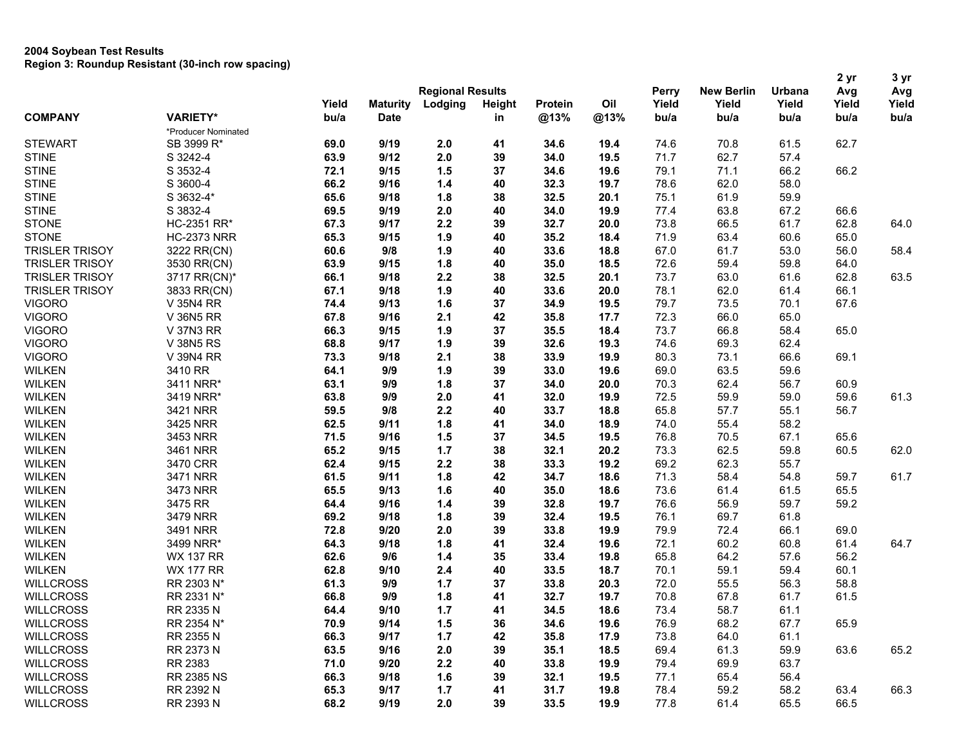|                       |                     |       |                         |         |               | Perry   |      |       | 2 yr              | 3 yr   |       |       |
|-----------------------|---------------------|-------|-------------------------|---------|---------------|---------|------|-------|-------------------|--------|-------|-------|
|                       |                     |       | <b>Regional Results</b> |         |               |         |      |       | <b>New Berlin</b> | Urbana | Avg   | Avg   |
|                       |                     | Yield | <b>Maturity</b>         | Lodging | <b>Height</b> | Protein | Oil  | Yield | Yield             | Yield  | Yield | Yield |
| <b>COMPANY</b>        | <b>VARIETY*</b>     | bu/a  | <b>Date</b>             |         | in            | @13%    | @13% | bu/a  | bu/a              | bu/a   | bu/a  | bu/a  |
|                       | *Producer Nominated |       |                         |         |               |         |      |       |                   |        |       |       |
| <b>STEWART</b>        | SB 3999 R*          | 69.0  | 9/19                    | 2.0     | 41            | 34.6    | 19.4 | 74.6  | 70.8              | 61.5   | 62.7  |       |
| <b>STINE</b>          | S 3242-4            | 63.9  | 9/12                    | 2.0     | 39            | 34.0    | 19.5 | 71.7  | 62.7              | 57.4   |       |       |
| <b>STINE</b>          | S 3532-4            | 72.1  | 9/15                    | 1.5     | 37            | 34.6    | 19.6 | 79.1  | 71.1              | 66.2   | 66.2  |       |
| <b>STINE</b>          | S 3600-4            | 66.2  | 9/16                    | $1.4$   | 40            | 32.3    | 19.7 | 78.6  | 62.0              | 58.0   |       |       |
| <b>STINE</b>          | S 3632-4*           | 65.6  | 9/18                    | 1.8     | 38            | 32.5    | 20.1 | 75.1  | 61.9              | 59.9   |       |       |
| <b>STINE</b>          | S 3832-4            | 69.5  | 9/19                    | 2.0     | 40            | 34.0    | 19.9 | 77.4  | 63.8              | 67.2   | 66.6  |       |
| <b>STONE</b>          | HC-2351 RR*         | 67.3  | 9/17                    | 2.2     | 39            | 32.7    | 20.0 | 73.8  | 66.5              | 61.7   | 62.8  | 64.0  |
| <b>STONE</b>          | <b>HC-2373 NRR</b>  | 65.3  | 9/15                    | 1.9     | 40            | 35.2    | 18.4 | 71.9  | 63.4              | 60.6   | 65.0  |       |
| <b>TRISLER TRISOY</b> | 3222 RR(CN)         | 60.6  | 9/8                     | 1.9     | 40            | 33.6    | 18.8 | 67.0  | 61.7              | 53.0   | 56.0  | 58.4  |
| <b>TRISLER TRISOY</b> | 3530 RR(CN)         | 63.9  | 9/15                    | 1.8     | 40            | 35.0    | 18.5 | 72.6  | 59.4              | 59.8   | 64.0  |       |
| <b>TRISLER TRISOY</b> | 3717 RR(CN)*        | 66.1  | 9/18                    | 2.2     | 38            | 32.5    | 20.1 | 73.7  | 63.0              | 61.6   | 62.8  | 63.5  |
| <b>TRISLER TRISOY</b> | 3833 RR(CN)         | 67.1  | 9/18                    | 1.9     | 40            | 33.6    | 20.0 | 78.1  | 62.0              | 61.4   | 66.1  |       |
| <b>VIGORO</b>         | V 35N4 RR           | 74.4  | 9/13                    | 1.6     | 37            | 34.9    | 19.5 | 79.7  | 73.5              | 70.1   | 67.6  |       |
| <b>VIGORO</b>         | V 36N5 RR           | 67.8  | 9/16                    | 2.1     | 42            | 35.8    | 17.7 | 72.3  | 66.0              | 65.0   |       |       |
| <b>VIGORO</b>         | V 37N3 RR           | 66.3  | 9/15                    | 1.9     | 37            | 35.5    | 18.4 | 73.7  | 66.8              | 58.4   | 65.0  |       |
| <b>VIGORO</b>         | <b>V 38N5 RS</b>    | 68.8  | 9/17                    | 1.9     | 39            | 32.6    | 19.3 | 74.6  | 69.3              | 62.4   |       |       |
| <b>VIGORO</b>         | V 39N4 RR           | 73.3  | 9/18                    | 2.1     | 38            | 33.9    | 19.9 | 80.3  | 73.1              | 66.6   | 69.1  |       |
| <b>WILKEN</b>         | 3410 RR             | 64.1  | 9/9                     | 1.9     | 39            | 33.0    | 19.6 | 69.0  | 63.5              | 59.6   |       |       |
| <b>WILKEN</b>         | 3411 NRR*           | 63.1  | 9/9                     | 1.8     | 37            | 34.0    | 20.0 | 70.3  | 62.4              | 56.7   | 60.9  |       |
| <b>WILKEN</b>         | 3419 NRR*           | 63.8  | 9/9                     | 2.0     | 41            | 32.0    | 19.9 | 72.5  | 59.9              | 59.0   | 59.6  | 61.3  |
| <b>WILKEN</b>         | 3421 NRR            | 59.5  | 9/8                     | 2.2     | 40            | 33.7    | 18.8 | 65.8  | 57.7              | 55.1   | 56.7  |       |
| <b>WILKEN</b>         | 3425 NRR            | 62.5  | 9/11                    | 1.8     | 41            | 34.0    | 18.9 | 74.0  | 55.4              | 58.2   |       |       |
| <b>WILKEN</b>         | 3453 NRR            | 71.5  | 9/16                    | 1.5     | 37            | 34.5    | 19.5 | 76.8  | 70.5              | 67.1   | 65.6  |       |
| <b>WILKEN</b>         | 3461 NRR            | 65.2  | 9/15                    | $1.7$   | 38            | 32.1    | 20.2 | 73.3  | 62.5              | 59.8   | 60.5  | 62.0  |
| <b>WILKEN</b>         | 3470 CRR            | 62.4  | 9/15                    | 2.2     | 38            | 33.3    | 19.2 | 69.2  | 62.3              | 55.7   |       |       |
| <b>WILKEN</b>         | 3471 NRR            | 61.5  | 9/11                    | 1.8     | 42            | 34.7    | 18.6 | 71.3  | 58.4              | 54.8   | 59.7  | 61.7  |
| <b>WILKEN</b>         | 3473 NRR            | 65.5  | 9/13                    | 1.6     | 40            | 35.0    | 18.6 | 73.6  | 61.4              | 61.5   | 65.5  |       |
|                       |                     |       |                         |         |               |         |      |       |                   |        |       |       |
| <b>WILKEN</b>         | 3475 RR             | 64.4  | 9/16                    | $1.4$   | 39            | 32.8    | 19.7 | 76.6  | 56.9              | 59.7   | 59.2  |       |
| <b>WILKEN</b>         | 3479 NRR            | 69.2  | 9/18                    | 1.8     | 39            | 32.4    | 19.5 | 76.1  | 69.7              | 61.8   |       |       |
| <b>WILKEN</b>         | 3491 NRR            | 72.8  | 9/20                    | 2.0     | 39            | 33.8    | 19.9 | 79.9  | 72.4              | 66.1   | 69.0  |       |
| <b>WILKEN</b>         | 3499 NRR*           | 64.3  | 9/18                    | 1.8     | 41            | 32.4    | 19.6 | 72.1  | 60.2              | 60.8   | 61.4  | 64.7  |
| <b>WILKEN</b>         | <b>WX 137 RR</b>    | 62.6  | 9/6                     | $1.4$   | 35            | 33.4    | 19.8 | 65.8  | 64.2              | 57.6   | 56.2  |       |
| <b>WILKEN</b>         | <b>WX 177 RR</b>    | 62.8  | 9/10                    | 2.4     | 40            | 33.5    | 18.7 | 70.1  | 59.1              | 59.4   | 60.1  |       |
| <b>WILLCROSS</b>      | RR 2303 N*          | 61.3  | 9/9                     | 1.7     | 37            | 33.8    | 20.3 | 72.0  | 55.5              | 56.3   | 58.8  |       |
| <b>WILLCROSS</b>      | RR 2331 N*          | 66.8  | 9/9                     | 1.8     | 41            | 32.7    | 19.7 | 70.8  | 67.8              | 61.7   | 61.5  |       |
| <b>WILLCROSS</b>      | RR 2335 N           | 64.4  | 9/10                    | 1.7     | 41            | 34.5    | 18.6 | 73.4  | 58.7              | 61.1   |       |       |
| <b>WILLCROSS</b>      | RR 2354 N*          | 70.9  | 9/14                    | 1.5     | 36            | 34.6    | 19.6 | 76.9  | 68.2              | 67.7   | 65.9  |       |
| <b>WILLCROSS</b>      | RR 2355 N           | 66.3  | 9/17                    | 1.7     | 42            | 35.8    | 17.9 | 73.8  | 64.0              | 61.1   |       |       |
| <b>WILLCROSS</b>      | RR 2373 N           | 63.5  | 9/16                    | 2.0     | 39            | 35.1    | 18.5 | 69.4  | 61.3              | 59.9   | 63.6  | 65.2  |
| <b>WILLCROSS</b>      | RR 2383             | 71.0  | 9/20                    | 2.2     | 40            | 33.8    | 19.9 | 79.4  | 69.9              | 63.7   |       |       |
| <b>WILLCROSS</b>      | RR 2385 NS          | 66.3  | 9/18                    | 1.6     | 39            | 32.1    | 19.5 | 77.1  | 65.4              | 56.4   |       |       |
| <b>WILLCROSS</b>      | RR 2392 N           | 65.3  | 9/17                    | 1.7     | 41            | 31.7    | 19.8 | 78.4  | 59.2              | 58.2   | 63.4  | 66.3  |
| <b>WILLCROSS</b>      | RR 2393 N           | 68.2  | 9/19                    | 2.0     | 39            | 33.5    | 19.9 | 77.8  | 61.4              | 65.5   | 66.5  |       |